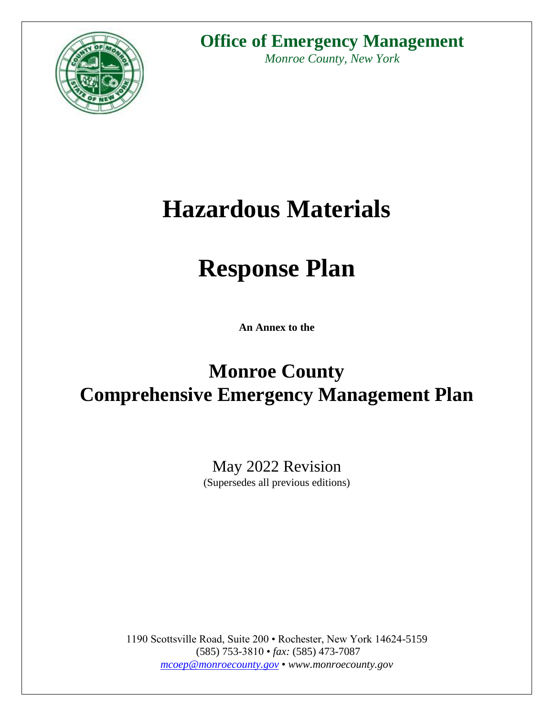

# **Office of Emergency Management**

*Monroe County, New York*

# **Hazardous Materials**

# **Response Plan**

**An Annex to the**

# **Monroe County Comprehensive Emergency Management Plan**

May 2022 Revision (Supersedes all previous editions)

1190 Scottsville Road, Suite 200 • Rochester, New York 14624-5159 (585) 753-3810 • *fax:* (585) 473-7087 *[mcoep@monroecounty.gov](mailto:mcoep@monroecounty.gov)* • *www.monroecounty.gov*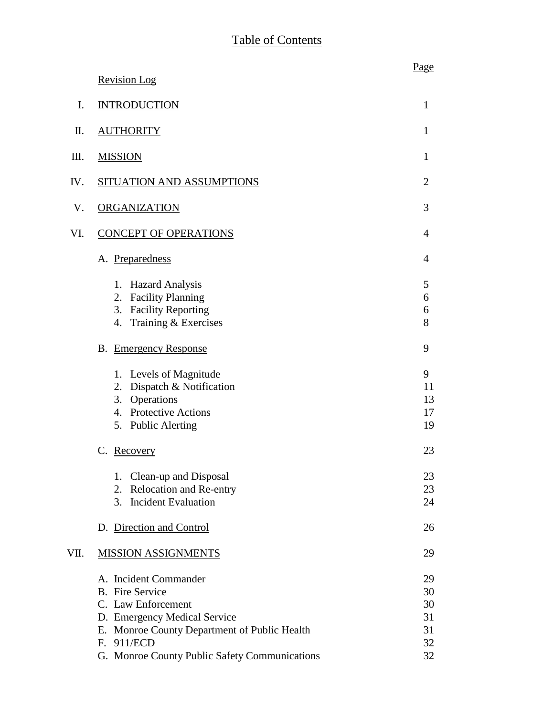|      |                                                                                                                                                                     | Page                       |
|------|---------------------------------------------------------------------------------------------------------------------------------------------------------------------|----------------------------|
|      | <b>Revision Log</b>                                                                                                                                                 |                            |
| I.   | <b>INTRODUCTION</b>                                                                                                                                                 | $\mathbf{1}$               |
| П.   | <b>AUTHORITY</b>                                                                                                                                                    | 1                          |
| Ш.   | <b>MISSION</b>                                                                                                                                                      | 1                          |
| IV.  | SITUATION AND ASSUMPTIONS                                                                                                                                           | $\overline{2}$             |
| V.   | <b>ORGANIZATION</b>                                                                                                                                                 | 3                          |
| VI.  | <b>CONCEPT OF OPERATIONS</b>                                                                                                                                        | 4                          |
|      | A. Preparedness                                                                                                                                                     | 4                          |
|      | <b>Hazard Analysis</b><br>1.<br><b>Facility Planning</b><br>2.<br><b>Facility Reporting</b><br>3.<br>Training & Exercises<br>4.                                     | 5<br>6<br>6<br>8           |
|      | <b>B.</b> Emergency Response                                                                                                                                        | 9                          |
|      | Levels of Magnitude<br>1.<br>Dispatch & Notification<br>2.<br>3. Operations<br>4. Protective Actions<br><b>Public Alerting</b><br>5.                                | 9<br>11<br>13<br>17<br>19  |
|      | Recovery<br>C.                                                                                                                                                      | 23                         |
|      | 1. Clean-up and Disposal<br>Relocation and Re-entry<br>2.<br><b>Incident Evaluation</b><br>3.                                                                       | 23<br>23<br>24             |
|      | D. Direction and Control                                                                                                                                            | 26                         |
| VII. | <b>MISSION ASSIGNMENTS</b>                                                                                                                                          | 29                         |
|      | A. Incident Commander<br><b>B.</b> Fire Service<br>C. Law Enforcement<br>D. Emergency Medical Service<br>E. Monroe County Department of Public Health<br>F. 911/ECD | 29<br>30<br>30<br>31<br>31 |
|      | G. Monroe County Public Safety Communications                                                                                                                       | 32<br>32                   |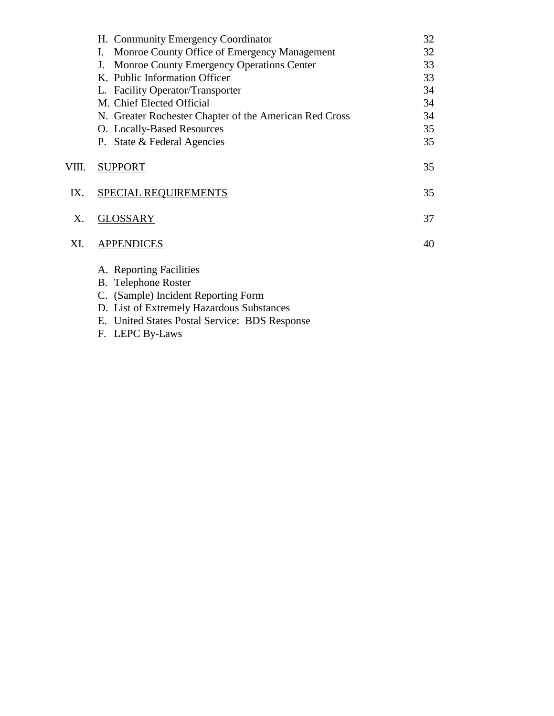|       | H. Community Emergency Coordinator                     | 32 |
|-------|--------------------------------------------------------|----|
|       | Monroe County Office of Emergency Management<br>I.     | 32 |
|       | <b>Monroe County Emergency Operations Center</b><br>J. | 33 |
|       | K. Public Information Officer                          | 33 |
|       | L. Facility Operator/Transporter                       | 34 |
|       | M. Chief Elected Official                              | 34 |
|       | N. Greater Rochester Chapter of the American Red Cross | 34 |
|       | O. Locally-Based Resources                             | 35 |
|       | P. State & Federal Agencies                            | 35 |
| VIII. | <b>SUPPORT</b>                                         | 35 |
| IX.   | <b>SPECIAL REQUIREMENTS</b>                            | 35 |
| X.    | <b>GLOSSARY</b>                                        | 37 |
| XI.   | <b>APPENDICES</b>                                      | 40 |
|       | A. Reporting Facilities                                |    |
|       | <b>B.</b> Telephone Roster                             |    |
|       | C. (Sample) Incident Reporting Form                    |    |
|       | D. List of Extremely Hazardous Substances              |    |
|       | E. United States Postal Service: BDS Response          |    |
|       | F. LEPC By-Laws                                        |    |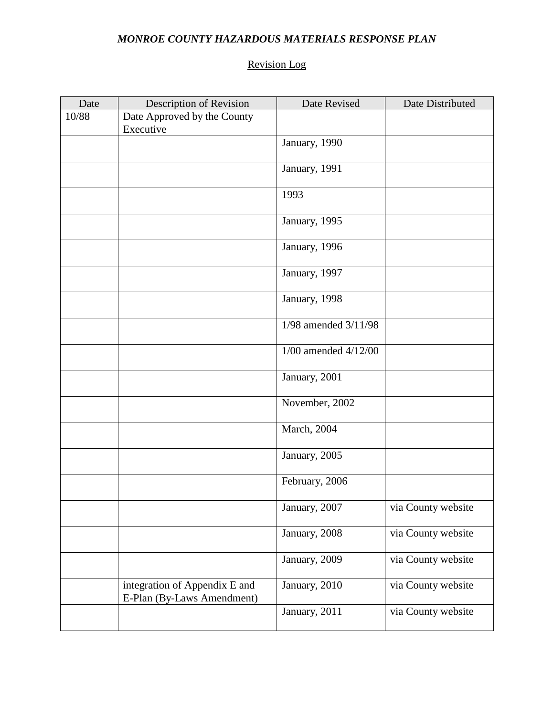# *MONROE COUNTY HAZARDOUS MATERIALS RESPONSE PLAN*

# Revision Log

| Date  | Description of Revision                                     | Date Revised             | Date Distributed   |
|-------|-------------------------------------------------------------|--------------------------|--------------------|
| 10/88 | Date Approved by the County<br>Executive                    |                          |                    |
|       |                                                             | January, 1990            |                    |
|       |                                                             | January, 1991            |                    |
|       |                                                             | 1993                     |                    |
|       |                                                             | January, 1995            |                    |
|       |                                                             | January, 1996            |                    |
|       |                                                             | January, 1997            |                    |
|       |                                                             | January, 1998            |                    |
|       |                                                             | 1/98 amended 3/11/98     |                    |
|       |                                                             | $1/00$ amended $4/12/00$ |                    |
|       |                                                             | January, 2001            |                    |
|       |                                                             | November, 2002           |                    |
|       |                                                             | March, 2004              |                    |
|       |                                                             | January, 2005            |                    |
|       |                                                             | February, 2006           |                    |
|       |                                                             | January, 2007            | via County website |
|       |                                                             | January, 2008            | via County website |
|       |                                                             | January, 2009            | via County website |
|       | integration of Appendix E and<br>E-Plan (By-Laws Amendment) | January, 2010            | via County website |
|       |                                                             | January, 2011            | via County website |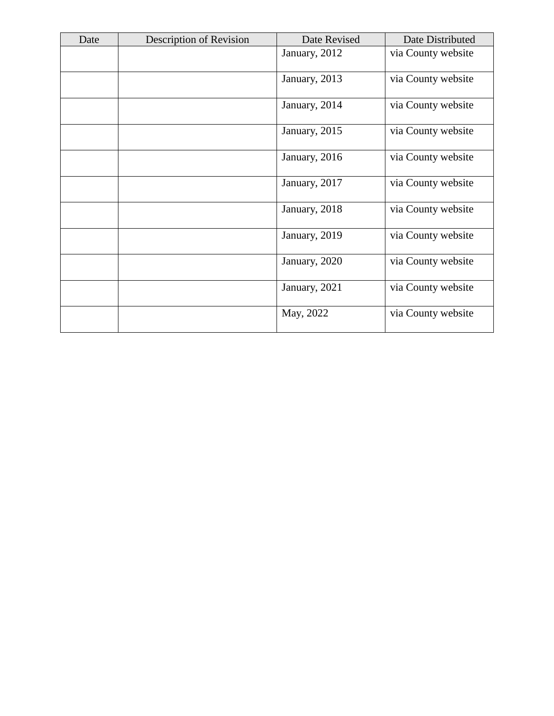| Date | <b>Description of Revision</b> | Date Revised  | Date Distributed   |
|------|--------------------------------|---------------|--------------------|
|      |                                | January, 2012 | via County website |
|      |                                | January, 2013 | via County website |
|      |                                | January, 2014 | via County website |
|      |                                | January, 2015 | via County website |
|      |                                | January, 2016 | via County website |
|      |                                | January, 2017 | via County website |
|      |                                | January, 2018 | via County website |
|      |                                | January, 2019 | via County website |
|      |                                | January, 2020 | via County website |
|      |                                | January, 2021 | via County website |
|      |                                | May, 2022     | via County website |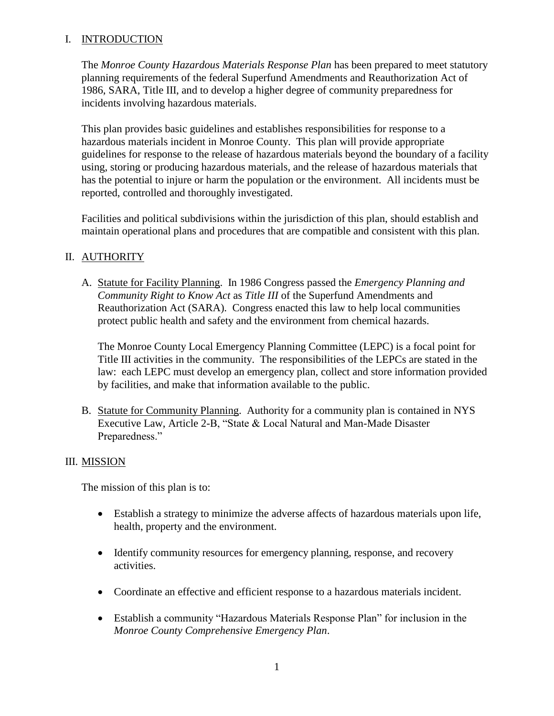#### I. INTRODUCTION

The *Monroe County Hazardous Materials Response Plan* has been prepared to meet statutory planning requirements of the federal Superfund Amendments and Reauthorization Act of 1986, SARA, Title III, and to develop a higher degree of community preparedness for incidents involving hazardous materials.

This plan provides basic guidelines and establishes responsibilities for response to a hazardous materials incident in Monroe County. This plan will provide appropriate guidelines for response to the release of hazardous materials beyond the boundary of a facility using, storing or producing hazardous materials, and the release of hazardous materials that has the potential to injure or harm the population or the environment. All incidents must be reported, controlled and thoroughly investigated.

Facilities and political subdivisions within the jurisdiction of this plan, should establish and maintain operational plans and procedures that are compatible and consistent with this plan.

# II. AUTHORITY

A. Statute for Facility Planning. In 1986 Congress passed the *Emergency Planning and Community Right to Know Act* as *Title III* of the Superfund Amendments and Reauthorization Act (SARA). Congress enacted this law to help local communities protect public health and safety and the environment from chemical hazards.

The Monroe County Local Emergency Planning Committee (LEPC) is a focal point for Title III activities in the community. The responsibilities of the LEPCs are stated in the law: each LEPC must develop an emergency plan, collect and store information provided by facilities, and make that information available to the public.

B. Statute for Community Planning. Authority for a community plan is contained in NYS Executive Law, Article 2-B, "State & Local Natural and Man-Made Disaster Preparedness."

#### III. MISSION

The mission of this plan is to:

- Establish a strategy to minimize the adverse affects of hazardous materials upon life, health, property and the environment.
- Identify community resources for emergency planning, response, and recovery activities.
- Coordinate an effective and efficient response to a hazardous materials incident.
- Establish a community "Hazardous Materials Response Plan" for inclusion in the *Monroe County Comprehensive Emergency Plan*.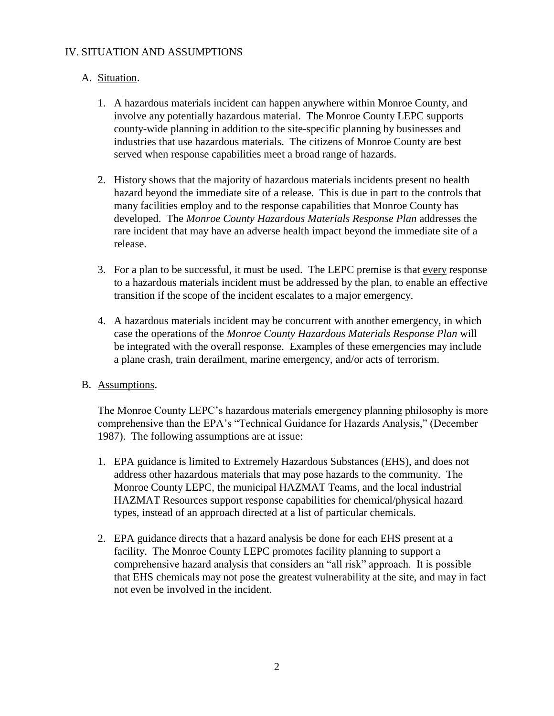# IV. SITUATION AND ASSUMPTIONS

#### A. Situation.

- 1. A hazardous materials incident can happen anywhere within Monroe County, and involve any potentially hazardous material. The Monroe County LEPC supports county-wide planning in addition to the site-specific planning by businesses and industries that use hazardous materials. The citizens of Monroe County are best served when response capabilities meet a broad range of hazards.
- 2. History shows that the majority of hazardous materials incidents present no health hazard beyond the immediate site of a release. This is due in part to the controls that many facilities employ and to the response capabilities that Monroe County has developed. The *Monroe County Hazardous Materials Response Plan* addresses the rare incident that may have an adverse health impact beyond the immediate site of a release.
- 3. For a plan to be successful, it must be used. The LEPC premise is that every response to a hazardous materials incident must be addressed by the plan, to enable an effective transition if the scope of the incident escalates to a major emergency.
- 4. A hazardous materials incident may be concurrent with another emergency, in which case the operations of the *Monroe County Hazardous Materials Response Plan* will be integrated with the overall response. Examples of these emergencies may include a plane crash, train derailment, marine emergency, and/or acts of terrorism.

#### B. Assumptions.

The Monroe County LEPC's hazardous materials emergency planning philosophy is more comprehensive than the EPA's "Technical Guidance for Hazards Analysis," (December 1987). The following assumptions are at issue:

- 1. EPA guidance is limited to Extremely Hazardous Substances (EHS), and does not address other hazardous materials that may pose hazards to the community. The Monroe County LEPC, the municipal HAZMAT Teams, and the local industrial HAZMAT Resources support response capabilities for chemical/physical hazard types, instead of an approach directed at a list of particular chemicals.
- 2. EPA guidance directs that a hazard analysis be done for each EHS present at a facility. The Monroe County LEPC promotes facility planning to support a comprehensive hazard analysis that considers an "all risk" approach. It is possible that EHS chemicals may not pose the greatest vulnerability at the site, and may in fact not even be involved in the incident.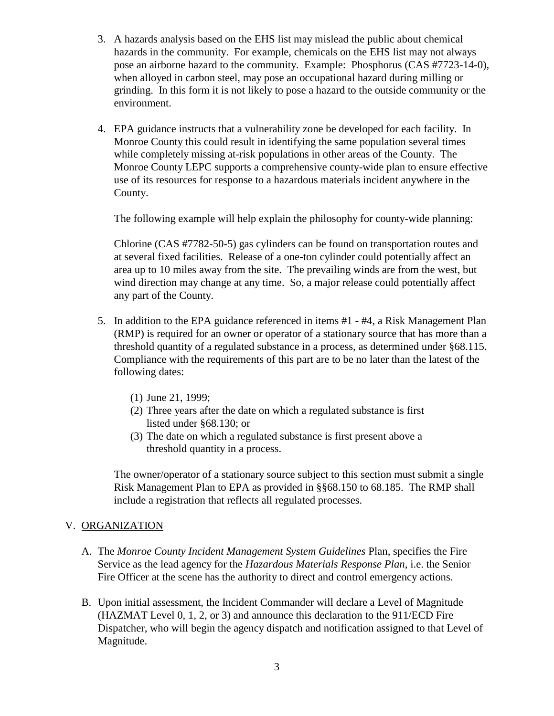- 3. A hazards analysis based on the EHS list may mislead the public about chemical hazards in the community. For example, chemicals on the EHS list may not always pose an airborne hazard to the community. Example: Phosphorus (CAS #7723-14-0), when alloyed in carbon steel, may pose an occupational hazard during milling or grinding. In this form it is not likely to pose a hazard to the outside community or the environment.
- 4. EPA guidance instructs that a vulnerability zone be developed for each facility. In Monroe County this could result in identifying the same population several times while completely missing at-risk populations in other areas of the County. The Monroe County LEPC supports a comprehensive county-wide plan to ensure effective use of its resources for response to a hazardous materials incident anywhere in the County.

The following example will help explain the philosophy for county-wide planning:

Chlorine (CAS #7782-50-5) gas cylinders can be found on transportation routes and at several fixed facilities. Release of a one-ton cylinder could potentially affect an area up to 10 miles away from the site. The prevailing winds are from the west, but wind direction may change at any time. So, a major release could potentially affect any part of the County.

- 5. In addition to the EPA guidance referenced in items #1 #4, a Risk Management Plan (RMP) is required for an owner or operator of a stationary source that has more than a threshold quantity of a regulated substance in a process, as determined under §68.115. Compliance with the requirements of this part are to be no later than the latest of the following dates:
	- (1) June 21, 1999;
	- (2) Three years after the date on which a regulated substance is first listed under §68.130; or
	- (3) The date on which a regulated substance is first present above a threshold quantity in a process.

The owner/operator of a stationary source subject to this section must submit a single Risk Management Plan to EPA as provided in §§68.150 to 68.185. The RMP shall include a registration that reflects all regulated processes.

#### V. ORGANIZATION

- A. The *Monroe County Incident Management System Guidelines* Plan, specifies the Fire Service as the lead agency for the *Hazardous Materials Response Plan*, i.e. the Senior Fire Officer at the scene has the authority to direct and control emergency actions.
- B. Upon initial assessment, the Incident Commander will declare a Level of Magnitude (HAZMAT Level 0, 1, 2, or 3) and announce this declaration to the 911/ECD Fire Dispatcher, who will begin the agency dispatch and notification assigned to that Level of Magnitude.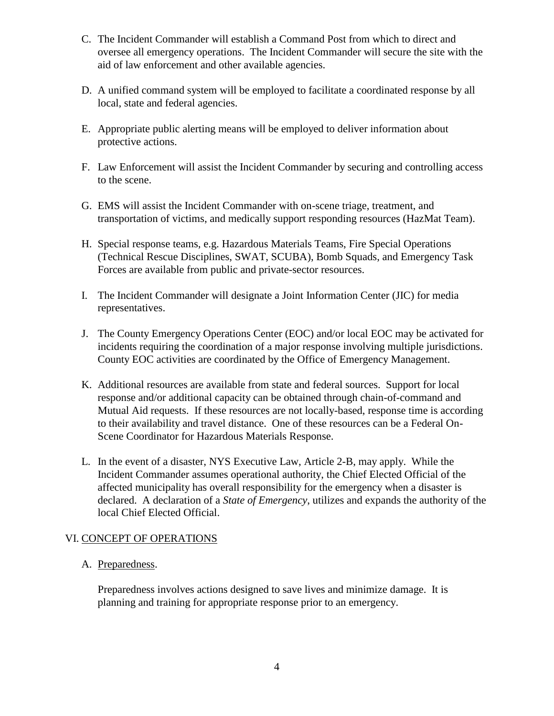- C. The Incident Commander will establish a Command Post from which to direct and oversee all emergency operations. The Incident Commander will secure the site with the aid of law enforcement and other available agencies.
- D. A unified command system will be employed to facilitate a coordinated response by all local, state and federal agencies.
- E. Appropriate public alerting means will be employed to deliver information about protective actions.
- F. Law Enforcement will assist the Incident Commander by securing and controlling access to the scene.
- G. EMS will assist the Incident Commander with on-scene triage, treatment, and transportation of victims, and medically support responding resources (HazMat Team).
- H. Special response teams, e.g. Hazardous Materials Teams, Fire Special Operations (Technical Rescue Disciplines, SWAT, SCUBA), Bomb Squads, and Emergency Task Forces are available from public and private-sector resources.
- I. The Incident Commander will designate a Joint Information Center (JIC) for media representatives.
- J. The County Emergency Operations Center (EOC) and/or local EOC may be activated for incidents requiring the coordination of a major response involving multiple jurisdictions. County EOC activities are coordinated by the Office of Emergency Management.
- K. Additional resources are available from state and federal sources. Support for local response and/or additional capacity can be obtained through chain-of-command and Mutual Aid requests. If these resources are not locally-based, response time is according to their availability and travel distance. One of these resources can be a Federal On-Scene Coordinator for Hazardous Materials Response.
- L. In the event of a disaster, NYS Executive Law, Article 2-B, may apply. While the Incident Commander assumes operational authority, the Chief Elected Official of the affected municipality has overall responsibility for the emergency when a disaster is declared. A declaration of a *State of Emergency*, utilizes and expands the authority of the local Chief Elected Official.

#### VI. CONCEPT OF OPERATIONS

#### A. Preparedness.

Preparedness involves actions designed to save lives and minimize damage. It is planning and training for appropriate response prior to an emergency.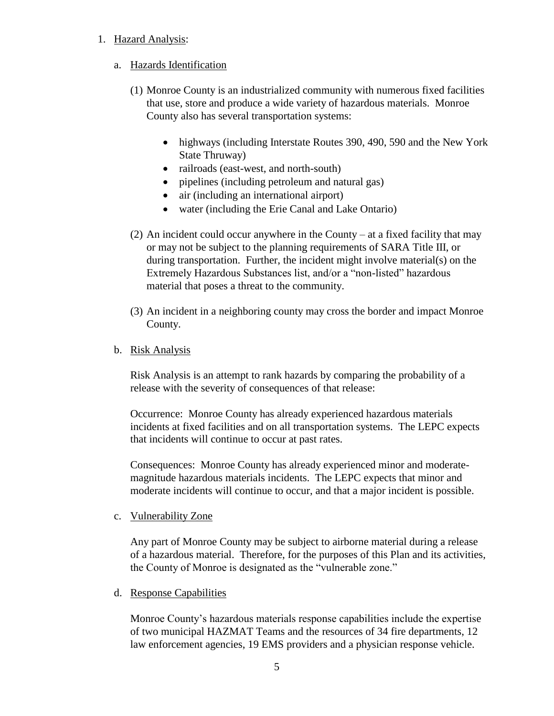#### 1. Hazard Analysis:

#### a. Hazards Identification

- (1) Monroe County is an industrialized community with numerous fixed facilities that use, store and produce a wide variety of hazardous materials. Monroe County also has several transportation systems:
	- highways (including Interstate Routes 390, 490, 590 and the New York State Thruway)
	- railroads (east-west, and north-south)
	- pipelines (including petroleum and natural gas)
	- air (including an international airport)
	- water (including the Erie Canal and Lake Ontario)
- (2) An incident could occur anywhere in the County at a fixed facility that may or may not be subject to the planning requirements of SARA Title III, or during transportation. Further, the incident might involve material(s) on the Extremely Hazardous Substances list, and/or a "non-listed" hazardous material that poses a threat to the community.
- (3) An incident in a neighboring county may cross the border and impact Monroe County.

#### b. Risk Analysis

Risk Analysis is an attempt to rank hazards by comparing the probability of a release with the severity of consequences of that release:

Occurrence: Monroe County has already experienced hazardous materials incidents at fixed facilities and on all transportation systems. The LEPC expects that incidents will continue to occur at past rates.

Consequences: Monroe County has already experienced minor and moderatemagnitude hazardous materials incidents. The LEPC expects that minor and moderate incidents will continue to occur, and that a major incident is possible.

c. Vulnerability Zone

Any part of Monroe County may be subject to airborne material during a release of a hazardous material. Therefore, for the purposes of this Plan and its activities, the County of Monroe is designated as the "vulnerable zone."

d. Response Capabilities

Monroe County's hazardous materials response capabilities include the expertise of two municipal HAZMAT Teams and the resources of 34 fire departments, 12 law enforcement agencies, 19 EMS providers and a physician response vehicle.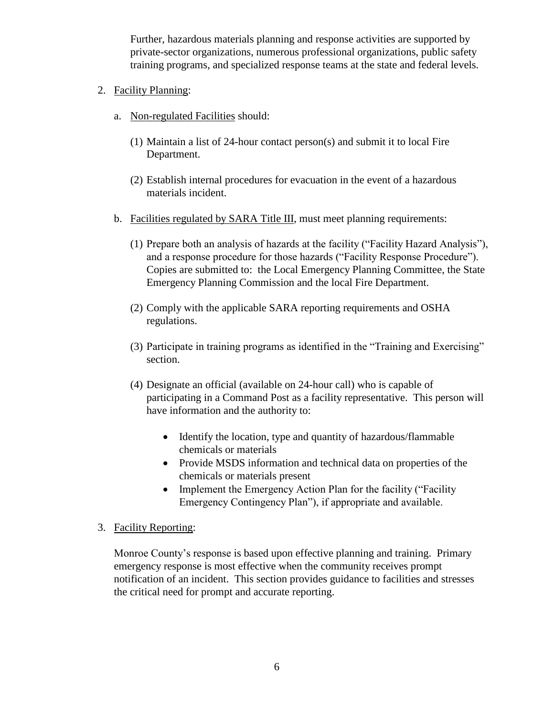Further, hazardous materials planning and response activities are supported by private-sector organizations, numerous professional organizations, public safety training programs, and specialized response teams at the state and federal levels.

- 2. Facility Planning:
	- a. Non-regulated Facilities should:
		- (1) Maintain a list of 24-hour contact person(s) and submit it to local Fire Department.
		- (2) Establish internal procedures for evacuation in the event of a hazardous materials incident.
	- b. Facilities regulated by SARA Title III, must meet planning requirements:
		- (1) Prepare both an analysis of hazards at the facility ("Facility Hazard Analysis"), and a response procedure for those hazards ("Facility Response Procedure"). Copies are submitted to: the Local Emergency Planning Committee, the State Emergency Planning Commission and the local Fire Department.
		- (2) Comply with the applicable SARA reporting requirements and OSHA regulations.
		- (3) Participate in training programs as identified in the "Training and Exercising" section.
		- (4) Designate an official (available on 24-hour call) who is capable of participating in a Command Post as a facility representative. This person will have information and the authority to:
			- Identify the location, type and quantity of hazardous/flammable chemicals or materials
			- Provide MSDS information and technical data on properties of the chemicals or materials present
			- Implement the Emergency Action Plan for the facility ("Facility" Emergency Contingency Plan"), if appropriate and available.
- 3. Facility Reporting:

Monroe County's response is based upon effective planning and training. Primary emergency response is most effective when the community receives prompt notification of an incident. This section provides guidance to facilities and stresses the critical need for prompt and accurate reporting.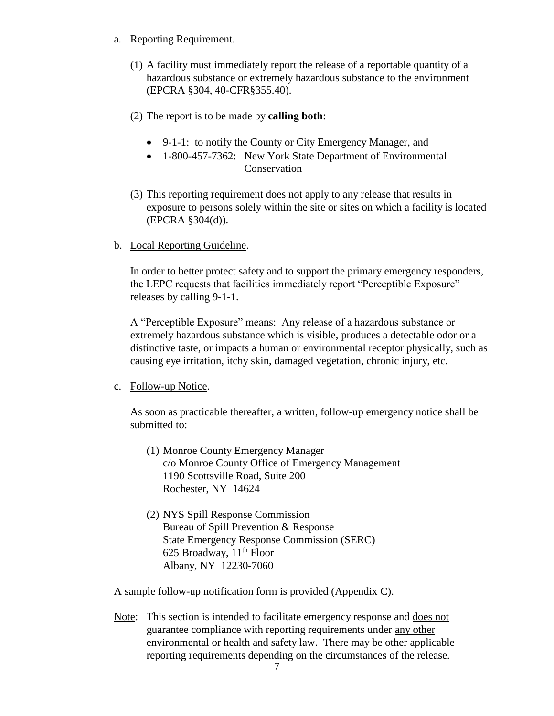- a. Reporting Requirement.
	- (1) A facility must immediately report the release of a reportable quantity of a hazardous substance or extremely hazardous substance to the environment (EPCRA §304, 40-CFR§355.40).
	- (2) The report is to be made by **calling both**:
		- 9-1-1: to notify the County or City Emergency Manager, and
		- 1-800-457-7362: New York State Department of Environmental Conservation
	- (3) This reporting requirement does not apply to any release that results in exposure to persons solely within the site or sites on which a facility is located (EPCRA §304(d)).
- b. Local Reporting Guideline.

In order to better protect safety and to support the primary emergency responders, the LEPC requests that facilities immediately report "Perceptible Exposure" releases by calling 9-1-1.

A "Perceptible Exposure" means: Any release of a hazardous substance or extremely hazardous substance which is visible, produces a detectable odor or a distinctive taste, or impacts a human or environmental receptor physically, such as causing eye irritation, itchy skin, damaged vegetation, chronic injury, etc.

c. Follow-up Notice.

As soon as practicable thereafter, a written, follow-up emergency notice shall be submitted to:

- (1) Monroe County Emergency Manager c/o Monroe County Office of Emergency Management 1190 Scottsville Road, Suite 200 Rochester, NY 14624
- (2) NYS Spill Response Commission Bureau of Spill Prevention & Response State Emergency Response Commission (SERC) 625 Broadway,  $11<sup>th</sup>$  Floor Albany, NY 12230-7060

A sample follow-up notification form is provided (Appendix C).

Note: This section is intended to facilitate emergency response and does not guarantee compliance with reporting requirements under any other environmental or health and safety law. There may be other applicable reporting requirements depending on the circumstances of the release.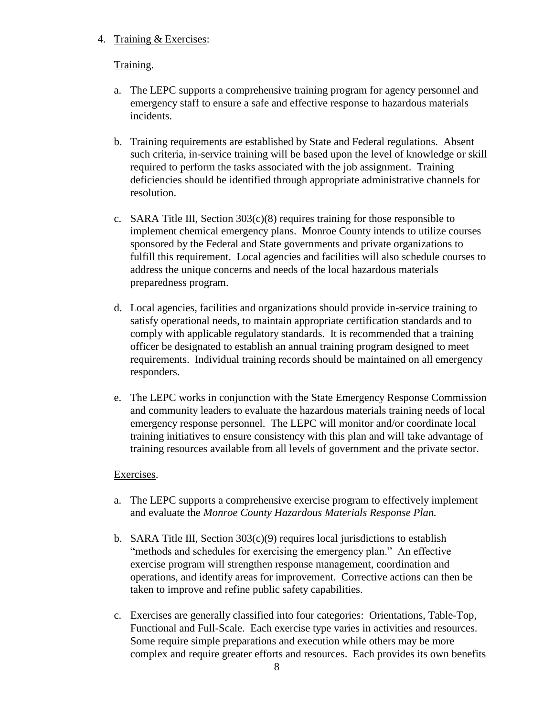#### 4. Training & Exercises:

# Training.

- a. The LEPC supports a comprehensive training program for agency personnel and emergency staff to ensure a safe and effective response to hazardous materials incidents.
- b. Training requirements are established by State and Federal regulations. Absent such criteria, in-service training will be based upon the level of knowledge or skill required to perform the tasks associated with the job assignment. Training deficiencies should be identified through appropriate administrative channels for resolution.
- c. SARA Title III, Section 303(c)(8) requires training for those responsible to implement chemical emergency plans. Monroe County intends to utilize courses sponsored by the Federal and State governments and private organizations to fulfill this requirement. Local agencies and facilities will also schedule courses to address the unique concerns and needs of the local hazardous materials preparedness program.
- d. Local agencies, facilities and organizations should provide in-service training to satisfy operational needs, to maintain appropriate certification standards and to comply with applicable regulatory standards. It is recommended that a training officer be designated to establish an annual training program designed to meet requirements. Individual training records should be maintained on all emergency responders.
- e. The LEPC works in conjunction with the State Emergency Response Commission and community leaders to evaluate the hazardous materials training needs of local emergency response personnel. The LEPC will monitor and/or coordinate local training initiatives to ensure consistency with this plan and will take advantage of training resources available from all levels of government and the private sector.

#### Exercises.

- a. The LEPC supports a comprehensive exercise program to effectively implement and evaluate the *Monroe County Hazardous Materials Response Plan.*
- b. SARA Title III, Section  $303(c)(9)$  requires local jurisdictions to establish "methods and schedules for exercising the emergency plan." An effective exercise program will strengthen response management, coordination and operations, and identify areas for improvement. Corrective actions can then be taken to improve and refine public safety capabilities.
- c. Exercises are generally classified into four categories: Orientations, Table-Top, Functional and Full-Scale. Each exercise type varies in activities and resources. Some require simple preparations and execution while others may be more complex and require greater efforts and resources. Each provides its own benefits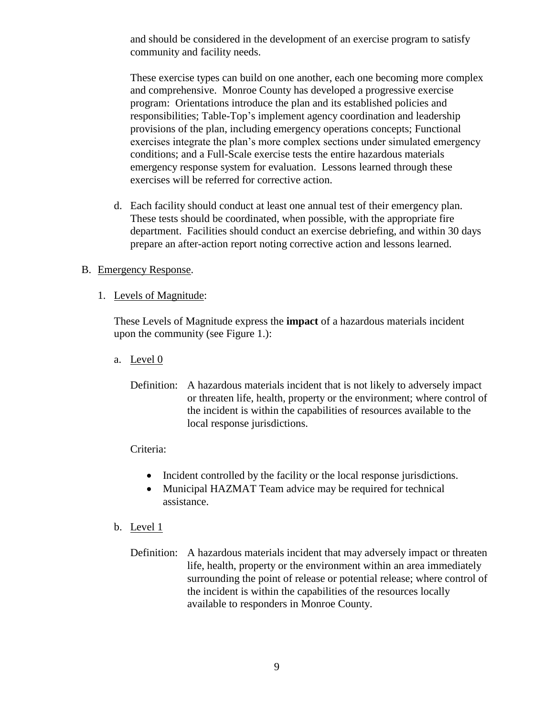and should be considered in the development of an exercise program to satisfy community and facility needs.

These exercise types can build on one another, each one becoming more complex and comprehensive. Monroe County has developed a progressive exercise program: Orientations introduce the plan and its established policies and responsibilities; Table-Top's implement agency coordination and leadership provisions of the plan, including emergency operations concepts; Functional exercises integrate the plan's more complex sections under simulated emergency conditions; and a Full-Scale exercise tests the entire hazardous materials emergency response system for evaluation. Lessons learned through these exercises will be referred for corrective action.

d. Each facility should conduct at least one annual test of their emergency plan. These tests should be coordinated, when possible, with the appropriate fire department. Facilities should conduct an exercise debriefing, and within 30 days prepare an after-action report noting corrective action and lessons learned.

#### B. Emergency Response.

1. Levels of Magnitude:

These Levels of Magnitude express the **impact** of a hazardous materials incident upon the community (see Figure 1.):

- a. Level 0
	- Definition: A hazardous materials incident that is not likely to adversely impact or threaten life, health, property or the environment; where control of the incident is within the capabilities of resources available to the local response jurisdictions.

#### Criteria:

- Incident controlled by the facility or the local response jurisdictions.
- Municipal HAZMAT Team advice may be required for technical assistance.
- b. Level  $1$ 
	- Definition: A hazardous materials incident that may adversely impact or threaten life, health, property or the environment within an area immediately surrounding the point of release or potential release; where control of the incident is within the capabilities of the resources locally available to responders in Monroe County.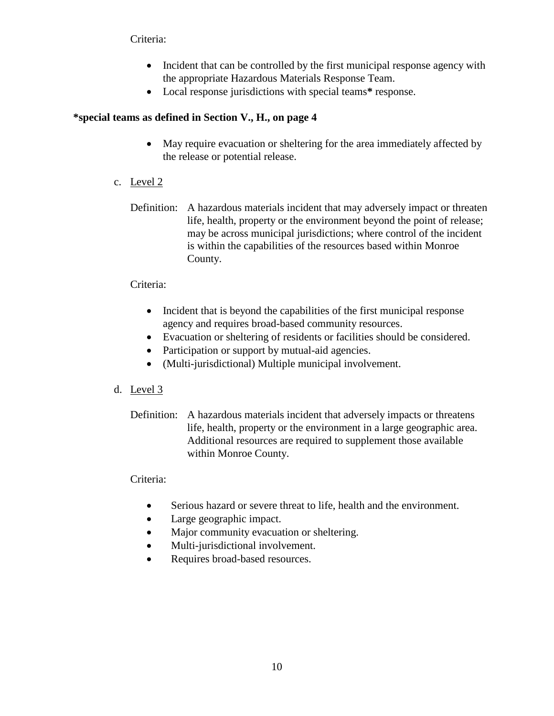#### Criteria:

- Incident that can be controlled by the first municipal response agency with the appropriate Hazardous Materials Response Team.
- Local response jurisdictions with special teams**\*** response.

# **\*special teams as defined in Section V., H., on page 4**

- May require evacuation or sheltering for the area immediately affected by the release or potential release.
- c. Level 2
	- Definition: A hazardous materials incident that may adversely impact or threaten life, health, property or the environment beyond the point of release; may be across municipal jurisdictions; where control of the incident is within the capabilities of the resources based within Monroe County.

# Criteria:

- Incident that is beyond the capabilities of the first municipal response agency and requires broad-based community resources.
- Evacuation or sheltering of residents or facilities should be considered.
- Participation or support by mutual-aid agencies.
- (Multi-jurisdictional) Multiple municipal involvement.

#### d. Level 3

Definition: A hazardous materials incident that adversely impacts or threatens life, health, property or the environment in a large geographic area. Additional resources are required to supplement those available within Monroe County.

#### Criteria:

- Serious hazard or severe threat to life, health and the environment.
- Large geographic impact.
- Major community evacuation or sheltering.
- Multi-jurisdictional involvement.
- Requires broad-based resources.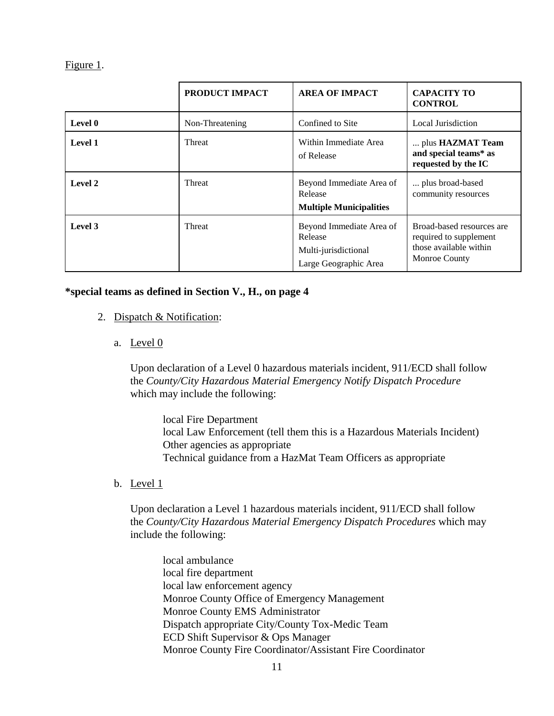Figure 1.

|         | PRODUCT IMPACT  | <b>AREA OF IMPACT</b>                                                                | <b>CAPACITY TO</b><br><b>CONTROL</b>                                                                  |
|---------|-----------------|--------------------------------------------------------------------------------------|-------------------------------------------------------------------------------------------------------|
| Level 0 | Non-Threatening | Confined to Site                                                                     | <b>Local Jurisdiction</b>                                                                             |
| Level 1 | Threat          | Within Immediate Area<br>of Release                                                  | plus HAZMAT Team<br>and special teams* as<br>requested by the IC                                      |
| Level 2 | <b>Threat</b>   | Beyond Immediate Area of<br>Release<br><b>Multiple Municipalities</b>                | plus broad-based<br>community resources                                                               |
| Level 3 | <b>Threat</b>   | Beyond Immediate Area of<br>Release<br>Multi-jurisdictional<br>Large Geographic Area | Broad-based resources are<br>required to supplement<br>those available within<br><b>Monroe County</b> |

#### **\*special teams as defined in Section V., H., on page 4**

- 2. Dispatch & Notification:
	- a. Level 0

Upon declaration of a Level 0 hazardous materials incident, 911/ECD shall follow the *County/City Hazardous Material Emergency Notify Dispatch Procedure* which may include the following:

local Fire Department local Law Enforcement (tell them this is a Hazardous Materials Incident) Other agencies as appropriate Technical guidance from a HazMat Team Officers as appropriate

b. Level 1

Upon declaration a Level 1 hazardous materials incident, 911/ECD shall follow the *County/City Hazardous Material Emergency Dispatch Procedures* which may include the following:

local ambulance local fire department local law enforcement agency Monroe County Office of Emergency Management Monroe County EMS Administrator Dispatch appropriate City/County Tox-Medic Team ECD Shift Supervisor & Ops Manager Monroe County Fire Coordinator/Assistant Fire Coordinator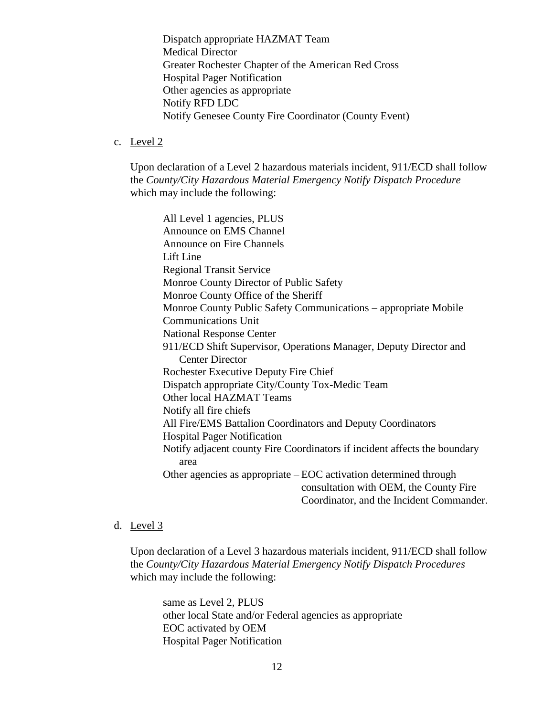Dispatch appropriate HAZMAT Team Medical Director Greater Rochester Chapter of the American Red Cross Hospital Pager Notification Other agencies as appropriate Notify RFD LDC Notify Genesee County Fire Coordinator (County Event)

#### c. Level 2

Upon declaration of a Level 2 hazardous materials incident, 911/ECD shall follow the *County/City Hazardous Material Emergency Notify Dispatch Procedure* which may include the following:

All Level 1 agencies, PLUS Announce on EMS Channel Announce on Fire Channels Lift Line Regional Transit Service Monroe County Director of Public Safety Monroe County Office of the Sheriff Monroe County Public Safety Communications – appropriate Mobile Communications Unit National Response Center 911/ECD Shift Supervisor, Operations Manager, Deputy Director and Center Director Rochester Executive Deputy Fire Chief Dispatch appropriate City/County Tox-Medic Team Other local HAZMAT Teams Notify all fire chiefs All Fire/EMS Battalion Coordinators and Deputy Coordinators Hospital Pager Notification Notify adjacent county Fire Coordinators if incident affects the boundary area Other agencies as appropriate – EOC activation determined through consultation with OEM, the County Fire Coordinator, and the Incident Commander.

#### d. Level 3

Upon declaration of a Level 3 hazardous materials incident, 911/ECD shall follow the *County/City Hazardous Material Emergency Notify Dispatch Procedures* which may include the following:

same as Level 2, PLUS other local State and/or Federal agencies as appropriate EOC activated by OEM Hospital Pager Notification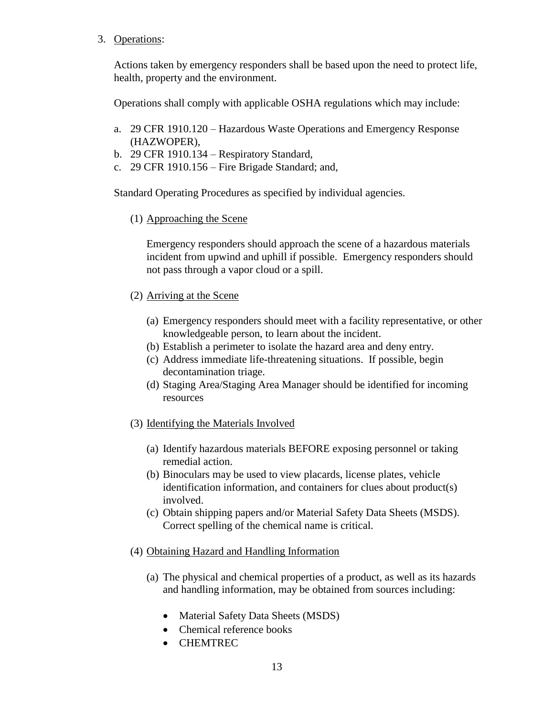3. Operations:

Actions taken by emergency responders shall be based upon the need to protect life, health, property and the environment.

Operations shall comply with applicable OSHA regulations which may include:

- a. 29 CFR 1910.120 Hazardous Waste Operations and Emergency Response (HAZWOPER),
- b. 29 CFR 1910.134 Respiratory Standard,
- c. 29 CFR 1910.156 Fire Brigade Standard; and,

Standard Operating Procedures as specified by individual agencies.

(1) Approaching the Scene

Emergency responders should approach the scene of a hazardous materials incident from upwind and uphill if possible. Emergency responders should not pass through a vapor cloud or a spill.

- (2) Arriving at the Scene
	- (a) Emergency responders should meet with a facility representative, or other knowledgeable person, to learn about the incident.
	- (b) Establish a perimeter to isolate the hazard area and deny entry.
	- (c) Address immediate life-threatening situations. If possible, begin decontamination triage.
	- (d) Staging Area/Staging Area Manager should be identified for incoming resources
- (3) Identifying the Materials Involved
	- (a) Identify hazardous materials BEFORE exposing personnel or taking remedial action.
	- (b) Binoculars may be used to view placards, license plates, vehicle identification information, and containers for clues about product(s) involved.
	- (c) Obtain shipping papers and/or Material Safety Data Sheets (MSDS). Correct spelling of the chemical name is critical.
- (4) Obtaining Hazard and Handling Information
	- (a) The physical and chemical properties of a product, as well as its hazards and handling information, may be obtained from sources including:
		- Material Safety Data Sheets (MSDS)
		- Chemical reference books
		- CHEMTREC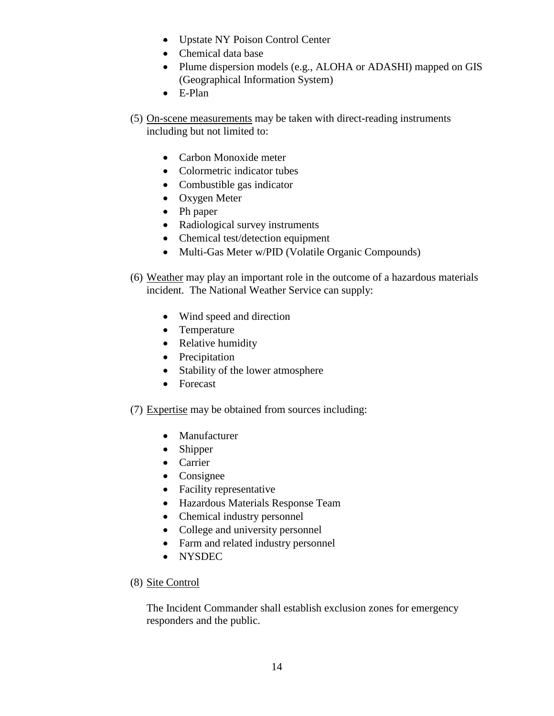- Upstate NY Poison Control Center
- Chemical data base
- Plume dispersion models (e.g., ALOHA or ADASHI) mapped on GIS (Geographical Information System)
- E-Plan
- (5) On-scene measurements may be taken with direct-reading instruments including but not limited to:
	- Carbon Monoxide meter
	- Colormetric indicator tubes
	- Combustible gas indicator
	- Oxygen Meter
	- Ph paper
	- Radiological survey instruments
	- Chemical test/detection equipment
	- Multi-Gas Meter w/PID (Volatile Organic Compounds)
- (6) Weather may play an important role in the outcome of a hazardous materials incident. The National Weather Service can supply:
	- Wind speed and direction
	- Temperature
	- Relative humidity
	- Precipitation
	- Stability of the lower atmosphere
	- Forecast
- (7) Expertise may be obtained from sources including:
	- Manufacturer
	- Shipper
	- Carrier
	- Consignee
	- Facility representative
	- Hazardous Materials Response Team
	- Chemical industry personnel
	- College and university personnel
	- Farm and related industry personnel
	- NYSDEC

#### (8) Site Control

The Incident Commander shall establish exclusion zones for emergency responders and the public.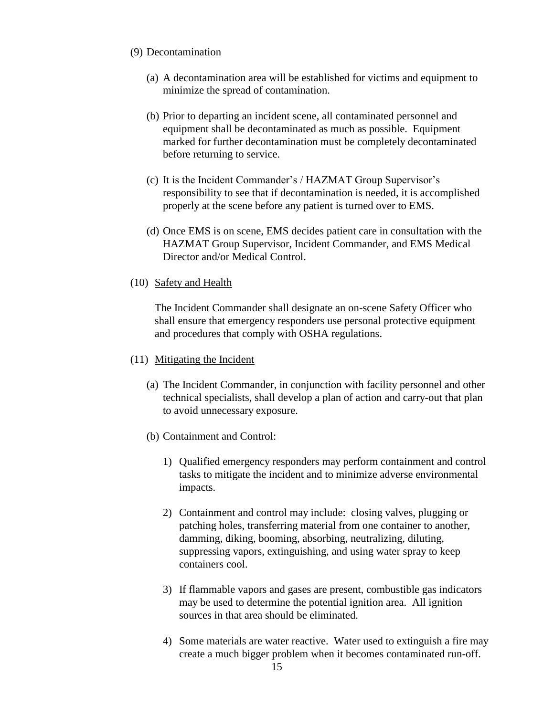#### (9) Decontamination

- (a) A decontamination area will be established for victims and equipment to minimize the spread of contamination.
- (b) Prior to departing an incident scene, all contaminated personnel and equipment shall be decontaminated as much as possible. Equipment marked for further decontamination must be completely decontaminated before returning to service.
- (c) It is the Incident Commander's / HAZMAT Group Supervisor's responsibility to see that if decontamination is needed, it is accomplished properly at the scene before any patient is turned over to EMS.
- (d) Once EMS is on scene, EMS decides patient care in consultation with the HAZMAT Group Supervisor, Incident Commander, and EMS Medical Director and/or Medical Control.
- (10) Safety and Health

The Incident Commander shall designate an on-scene Safety Officer who shall ensure that emergency responders use personal protective equipment and procedures that comply with OSHA regulations.

#### (11) Mitigating the Incident

- (a) The Incident Commander, in conjunction with facility personnel and other technical specialists, shall develop a plan of action and carry-out that plan to avoid unnecessary exposure.
- (b) Containment and Control:
	- 1) Qualified emergency responders may perform containment and control tasks to mitigate the incident and to minimize adverse environmental impacts.
	- 2) Containment and control may include: closing valves, plugging or patching holes, transferring material from one container to another, damming, diking, booming, absorbing, neutralizing, diluting, suppressing vapors, extinguishing, and using water spray to keep containers cool.
	- 3) If flammable vapors and gases are present, combustible gas indicators may be used to determine the potential ignition area. All ignition sources in that area should be eliminated.
	- 4) Some materials are water reactive. Water used to extinguish a fire may create a much bigger problem when it becomes contaminated run-off.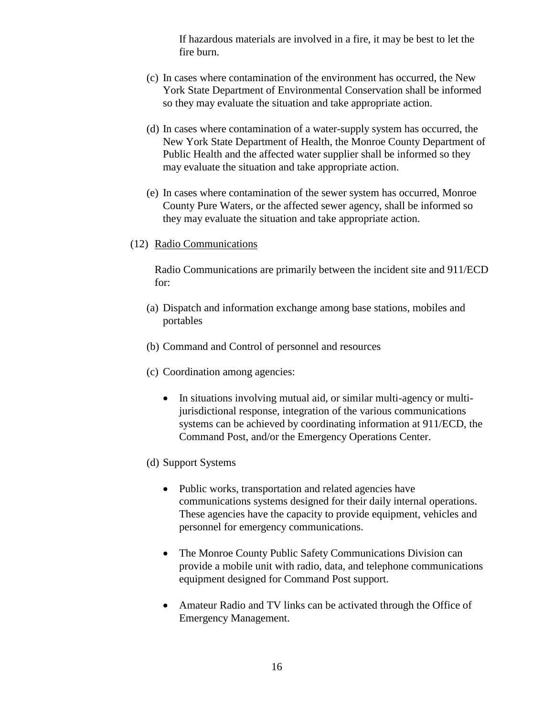If hazardous materials are involved in a fire, it may be best to let the fire burn.

- (c) In cases where contamination of the environment has occurred, the New York State Department of Environmental Conservation shall be informed so they may evaluate the situation and take appropriate action.
- (d) In cases where contamination of a water-supply system has occurred, the New York State Department of Health, the Monroe County Department of Public Health and the affected water supplier shall be informed so they may evaluate the situation and take appropriate action.
- (e) In cases where contamination of the sewer system has occurred, Monroe County Pure Waters, or the affected sewer agency, shall be informed so they may evaluate the situation and take appropriate action.
- (12) Radio Communications

Radio Communications are primarily between the incident site and 911/ECD for:

- (a) Dispatch and information exchange among base stations, mobiles and portables
- (b) Command and Control of personnel and resources
- (c) Coordination among agencies:
	- In situations involving mutual aid, or similar multi-agency or multijurisdictional response, integration of the various communications systems can be achieved by coordinating information at 911/ECD, the Command Post, and/or the Emergency Operations Center.
- (d) Support Systems
	- Public works, transportation and related agencies have communications systems designed for their daily internal operations. These agencies have the capacity to provide equipment, vehicles and personnel for emergency communications.
	- The Monroe County Public Safety Communications Division can provide a mobile unit with radio, data, and telephone communications equipment designed for Command Post support.
	- Amateur Radio and TV links can be activated through the Office of Emergency Management.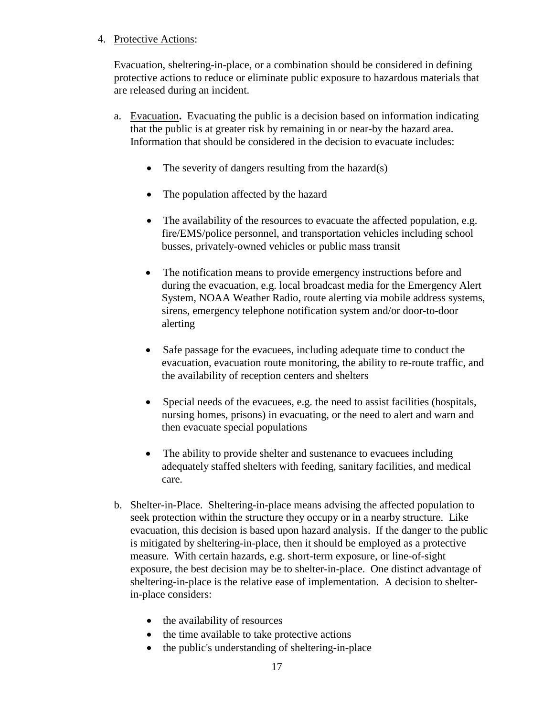#### 4. Protective Actions:

Evacuation, sheltering-in-place, or a combination should be considered in defining protective actions to reduce or eliminate public exposure to hazardous materials that are released during an incident.

- a. Evacuation**.** Evacuating the public is a decision based on information indicating that the public is at greater risk by remaining in or near-by the hazard area. Information that should be considered in the decision to evacuate includes:
	- $\bullet$  The severity of dangers resulting from the hazard(s)
	- The population affected by the hazard
	- The availability of the resources to evacuate the affected population, e.g. fire/EMS/police personnel, and transportation vehicles including school busses, privately-owned vehicles or public mass transit
	- The notification means to provide emergency instructions before and during the evacuation, e.g. local broadcast media for the Emergency Alert System, NOAA Weather Radio, route alerting via mobile address systems, sirens, emergency telephone notification system and/or door-to-door alerting
	- Safe passage for the evacuees, including adequate time to conduct the evacuation, evacuation route monitoring, the ability to re-route traffic, and the availability of reception centers and shelters
	- Special needs of the evacuees, e.g. the need to assist facilities (hospitals, nursing homes, prisons) in evacuating, or the need to alert and warn and then evacuate special populations
	- The ability to provide shelter and sustenance to evacuees including adequately staffed shelters with feeding, sanitary facilities, and medical care.
- b. Shelter-in-Place. Sheltering-in-place means advising the affected population to seek protection within the structure they occupy or in a nearby structure. Like evacuation, this decision is based upon hazard analysis. If the danger to the public is mitigated by sheltering-in-place, then it should be employed as a protective measure. With certain hazards, e.g. short-term exposure, or line-of-sight exposure, the best decision may be to shelter-in-place. One distinct advantage of sheltering-in-place is the relative ease of implementation. A decision to shelterin-place considers:
	- the availability of resources
	- the time available to take protective actions
	- the public's understanding of sheltering-in-place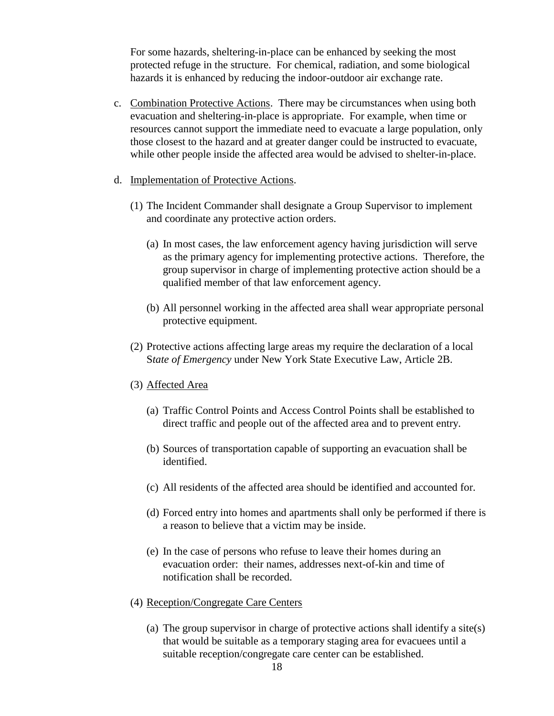For some hazards, sheltering-in-place can be enhanced by seeking the most protected refuge in the structure. For chemical, radiation, and some biological hazards it is enhanced by reducing the indoor-outdoor air exchange rate.

- c. Combination Protective Actions. There may be circumstances when using both evacuation and sheltering-in-place is appropriate. For example, when time or resources cannot support the immediate need to evacuate a large population, only those closest to the hazard and at greater danger could be instructed to evacuate, while other people inside the affected area would be advised to shelter-in-place.
- d. Implementation of Protective Actions.
	- (1) The Incident Commander shall designate a Group Supervisor to implement and coordinate any protective action orders.
		- (a) In most cases, the law enforcement agency having jurisdiction will serve as the primary agency for implementing protective actions. Therefore, the group supervisor in charge of implementing protective action should be a qualified member of that law enforcement agency.
		- (b) All personnel working in the affected area shall wear appropriate personal protective equipment.
	- (2) Protective actions affecting large areas my require the declaration of a local S*tate of Emergency* under New York State Executive Law, Article 2B.
	- (3) Affected Area
		- (a) Traffic Control Points and Access Control Points shall be established to direct traffic and people out of the affected area and to prevent entry.
		- (b) Sources of transportation capable of supporting an evacuation shall be identified.
		- (c) All residents of the affected area should be identified and accounted for.
		- (d) Forced entry into homes and apartments shall only be performed if there is a reason to believe that a victim may be inside.
		- (e) In the case of persons who refuse to leave their homes during an evacuation order: their names, addresses next-of-kin and time of notification shall be recorded.
	- (4) Reception/Congregate Care Centers
		- (a) The group supervisor in charge of protective actions shall identify a site(s) that would be suitable as a temporary staging area for evacuees until a suitable reception/congregate care center can be established.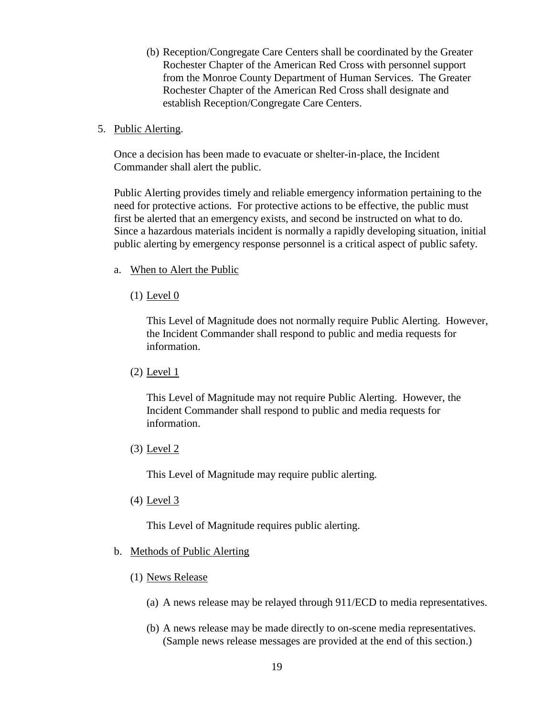- (b) Reception/Congregate Care Centers shall be coordinated by the Greater Rochester Chapter of the American Red Cross with personnel support from the Monroe County Department of Human Services. The Greater Rochester Chapter of the American Red Cross shall designate and establish Reception/Congregate Care Centers.
- 5. Public Alerting.

Once a decision has been made to evacuate or shelter-in-place, the Incident Commander shall alert the public.

Public Alerting provides timely and reliable emergency information pertaining to the need for protective actions. For protective actions to be effective, the public must first be alerted that an emergency exists, and second be instructed on what to do. Since a hazardous materials incident is normally a rapidly developing situation, initial public alerting by emergency response personnel is a critical aspect of public safety.

- a. When to Alert the Public
	- $(1)$  Level  $0$

This Level of Magnitude does not normally require Public Alerting. However, the Incident Commander shall respond to public and media requests for information.

 $(2)$  Level 1

This Level of Magnitude may not require Public Alerting. However, the Incident Commander shall respond to public and media requests for information.

(3) Level 2

This Level of Magnitude may require public alerting.

(4) Level 3

This Level of Magnitude requires public alerting.

#### b. Methods of Public Alerting

- (1) News Release
	- (a) A news release may be relayed through 911/ECD to media representatives.
	- (b) A news release may be made directly to on-scene media representatives. (Sample news release messages are provided at the end of this section.)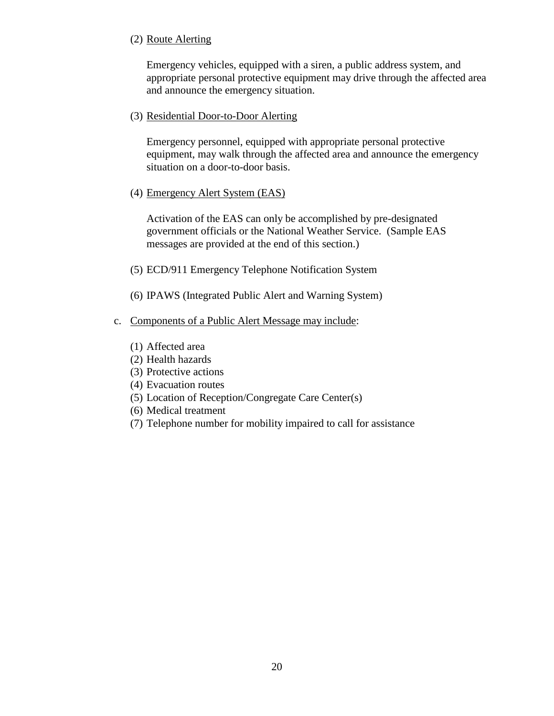#### (2) Route Alerting

Emergency vehicles, equipped with a siren, a public address system, and appropriate personal protective equipment may drive through the affected area and announce the emergency situation.

#### (3) Residential Door-to-Door Alerting

Emergency personnel, equipped with appropriate personal protective equipment, may walk through the affected area and announce the emergency situation on a door-to-door basis.

(4) Emergency Alert System (EAS)

Activation of the EAS can only be accomplished by pre-designated government officials or the National Weather Service. (Sample EAS messages are provided at the end of this section.)

- (5) ECD/911 Emergency Telephone Notification System
- (6) IPAWS (Integrated Public Alert and Warning System)

#### c. Components of a Public Alert Message may include:

- (1) Affected area
- (2) Health hazards
- (3) Protective actions
- (4) Evacuation routes
- (5) Location of Reception/Congregate Care Center(s)
- (6) Medical treatment
- (7) Telephone number for mobility impaired to call for assistance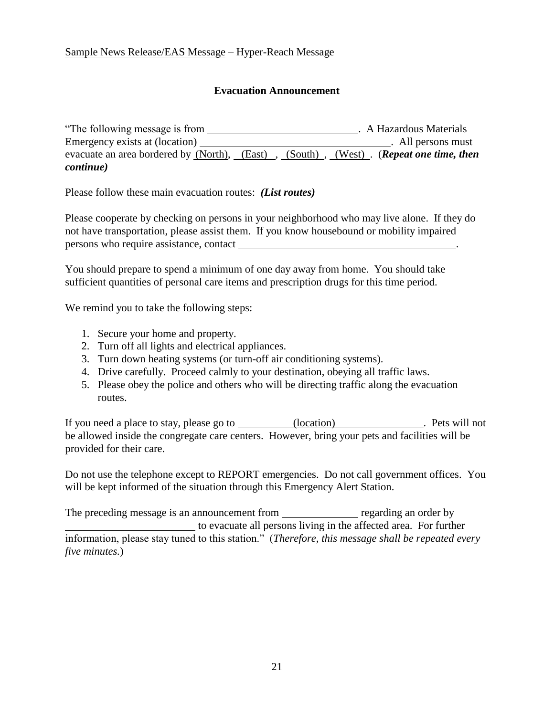#### Sample News Release/EAS Message – Hyper-Reach Message

#### **Evacuation Announcement**

"The following message is from . A Hazardous Materials Emergency exists at (location) . All persons must evacuate an area bordered by (North), (East), (South), (West). (*Repeat one time, then continue)*

Please follow these main evacuation routes: *(List routes)*

Please cooperate by checking on persons in your neighborhood who may live alone. If they do not have transportation, please assist them. If you know housebound or mobility impaired persons who require assistance, contact

You should prepare to spend a minimum of one day away from home. You should take sufficient quantities of personal care items and prescription drugs for this time period.

We remind you to take the following steps:

- 1. Secure your home and property.
- 2. Turn off all lights and electrical appliances.
- 3. Turn down heating systems (or turn-off air conditioning systems).
- 4. Drive carefully. Proceed calmly to your destination, obeying all traffic laws.
- 5. Please obey the police and others who will be directing traffic along the evacuation routes.

If you need a place to stay, please go to (location) . Pets will not be allowed inside the congregate care centers. However, bring your pets and facilities will be provided for their care.

Do not use the telephone except to REPORT emergencies. Do not call government offices. You will be kept informed of the situation through this Emergency Alert Station.

The preceding message is an announcement from regarding an order by to evacuate all persons living in the affected area. For further information, please stay tuned to this station." (*Therefore, this message shall be repeated every five minutes.*)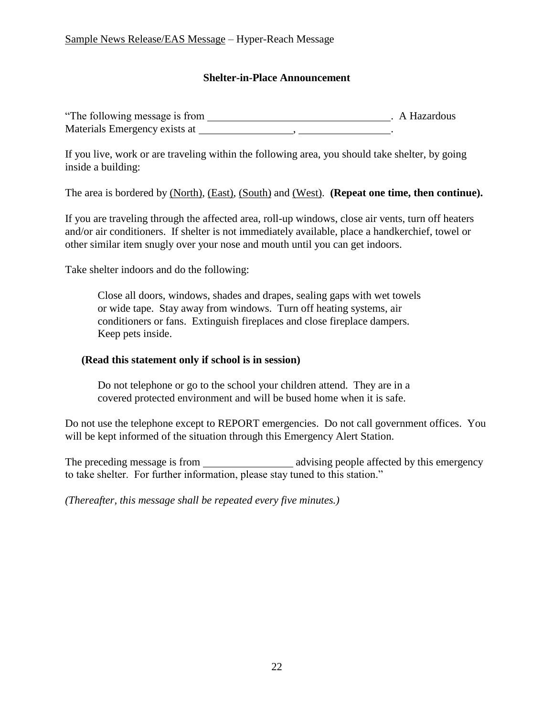#### **Shelter-in-Place Announcement**

| "The following message is from |  | . A Hazardous |
|--------------------------------|--|---------------|
| Materials Emergency exists at  |  |               |

If you live, work or are traveling within the following area, you should take shelter, by going inside a building:

The area is bordered by (North), (East), (South) and (West). **(Repeat one time, then continue).**

If you are traveling through the affected area, roll-up windows, close air vents, turn off heaters and/or air conditioners. If shelter is not immediately available, place a handkerchief, towel or other similar item snugly over your nose and mouth until you can get indoors.

Take shelter indoors and do the following:

Close all doors, windows, shades and drapes, sealing gaps with wet towels or wide tape. Stay away from windows. Turn off heating systems, air conditioners or fans. Extinguish fireplaces and close fireplace dampers. Keep pets inside.

#### **(Read this statement only if school is in session)**

Do not telephone or go to the school your children attend. They are in a covered protected environment and will be bused home when it is safe.

Do not use the telephone except to REPORT emergencies. Do not call government offices. You will be kept informed of the situation through this Emergency Alert Station.

The preceding message is from advising people affected by this emergency to take shelter. For further information, please stay tuned to this station."

*(Thereafter, this message shall be repeated every five minutes.)*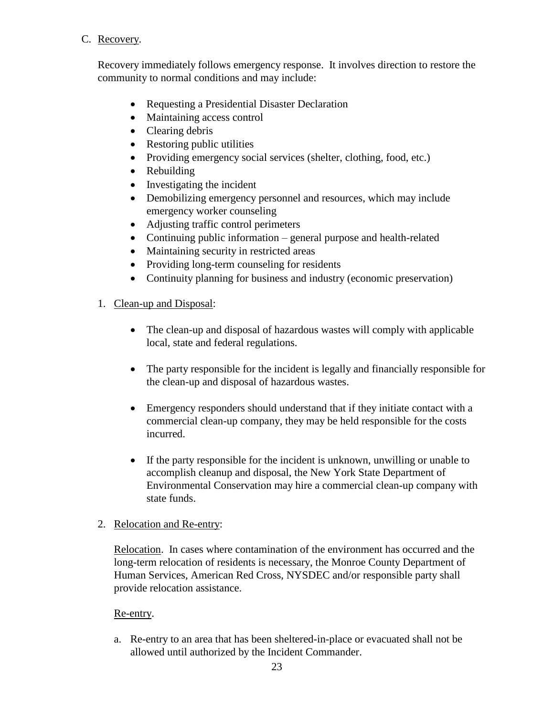#### C. Recovery.

Recovery immediately follows emergency response. It involves direction to restore the community to normal conditions and may include:

- Requesting a Presidential Disaster Declaration
- Maintaining access control
- Clearing debris
- Restoring public utilities
- Providing emergency social services (shelter, clothing, food, etc.)
- Rebuilding
- Investigating the incident
- Demobilizing emergency personnel and resources, which may include emergency worker counseling
- Adjusting traffic control perimeters
- Continuing public information general purpose and health-related
- Maintaining security in restricted areas
- Providing long-term counseling for residents
- Continuity planning for business and industry (economic preservation)

# 1. Clean-up and Disposal:

- The clean-up and disposal of hazardous wastes will comply with applicable local, state and federal regulations.
- The party responsible for the incident is legally and financially responsible for the clean-up and disposal of hazardous wastes.
- Emergency responders should understand that if they initiate contact with a commercial clean-up company, they may be held responsible for the costs incurred.
- If the party responsible for the incident is unknown, unwilling or unable to accomplish cleanup and disposal, the New York State Department of Environmental Conservation may hire a commercial clean-up company with state funds.

#### 2. Relocation and Re-entry:

Relocation. In cases where contamination of the environment has occurred and the long-term relocation of residents is necessary, the Monroe County Department of Human Services, American Red Cross, NYSDEC and/or responsible party shall provide relocation assistance.

#### Re-entry.

a. Re-entry to an area that has been sheltered-in-place or evacuated shall not be allowed until authorized by the Incident Commander.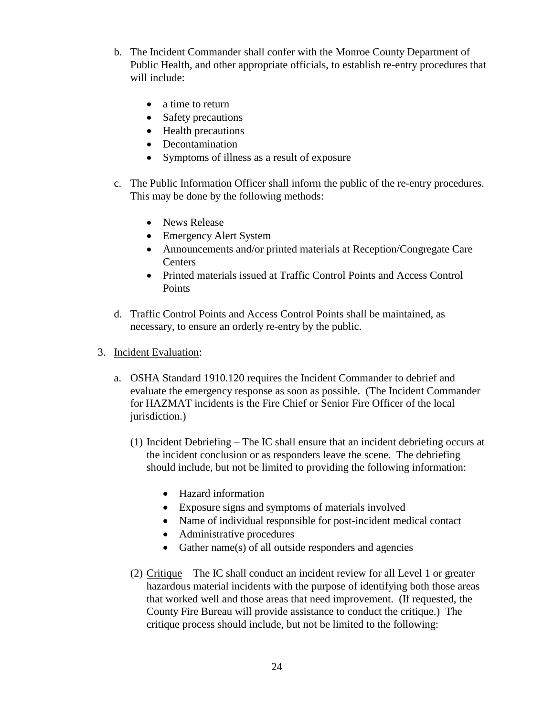- b. The Incident Commander shall confer with the Monroe County Department of Public Health, and other appropriate officials, to establish re-entry procedures that will include:
	- a time to return
	- Safety precautions
	- Health precautions
	- Decontamination
	- Symptoms of illness as a result of exposure
- c. The Public Information Officer shall inform the public of the re-entry procedures. This may be done by the following methods:
	- News Release
	- Emergency Alert System
	- Announcements and/or printed materials at Reception/Congregate Care Centers
	- Printed materials issued at Traffic Control Points and Access Control **Points**
- d. Traffic Control Points and Access Control Points shall be maintained, as necessary, to ensure an orderly re-entry by the public.
- 3. Incident Evaluation:
	- a. OSHA Standard 1910.120 requires the Incident Commander to debrief and evaluate the emergency response as soon as possible. (The Incident Commander for HAZMAT incidents is the Fire Chief or Senior Fire Officer of the local jurisdiction.)
		- (1) Incident Debriefing The IC shall ensure that an incident debriefing occurs at the incident conclusion or as responders leave the scene. The debriefing should include, but not be limited to providing the following information:
			- Hazard information
			- Exposure signs and symptoms of materials involved
			- Name of individual responsible for post-incident medical contact
			- Administrative procedures
			- Gather name(s) of all outside responders and agencies
		- (2) Critique The IC shall conduct an incident review for all Level 1 or greater hazardous material incidents with the purpose of identifying both those areas that worked well and those areas that need improvement. (If requested, the County Fire Bureau will provide assistance to conduct the critique.) The critique process should include, but not be limited to the following: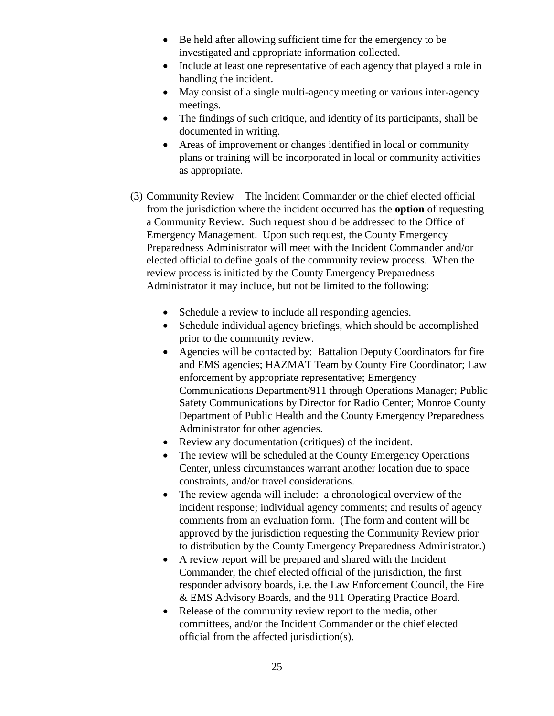- Be held after allowing sufficient time for the emergency to be investigated and appropriate information collected.
- Include at least one representative of each agency that played a role in handling the incident.
- May consist of a single multi-agency meeting or various inter-agency meetings.
- The findings of such critique, and identity of its participants, shall be documented in writing.
- Areas of improvement or changes identified in local or community plans or training will be incorporated in local or community activities as appropriate.
- (3) Community Review The Incident Commander or the chief elected official from the jurisdiction where the incident occurred has the **option** of requesting a Community Review. Such request should be addressed to the Office of Emergency Management. Upon such request, the County Emergency Preparedness Administrator will meet with the Incident Commander and/or elected official to define goals of the community review process. When the review process is initiated by the County Emergency Preparedness Administrator it may include, but not be limited to the following:
	- Schedule a review to include all responding agencies.
	- Schedule individual agency briefings, which should be accomplished prior to the community review.
	- Agencies will be contacted by: Battalion Deputy Coordinators for fire and EMS agencies; HAZMAT Team by County Fire Coordinator; Law enforcement by appropriate representative; Emergency Communications Department/911 through Operations Manager; Public Safety Communications by Director for Radio Center; Monroe County Department of Public Health and the County Emergency Preparedness Administrator for other agencies.
	- Review any documentation (critiques) of the incident.
	- The review will be scheduled at the County Emergency Operations Center, unless circumstances warrant another location due to space constraints, and/or travel considerations.
	- The review agenda will include: a chronological overview of the incident response; individual agency comments; and results of agency comments from an evaluation form. (The form and content will be approved by the jurisdiction requesting the Community Review prior to distribution by the County Emergency Preparedness Administrator.)
	- A review report will be prepared and shared with the Incident Commander, the chief elected official of the jurisdiction, the first responder advisory boards, i.e. the Law Enforcement Council, the Fire & EMS Advisory Boards, and the 911 Operating Practice Board.
	- Release of the community review report to the media, other committees, and/or the Incident Commander or the chief elected official from the affected jurisdiction(s).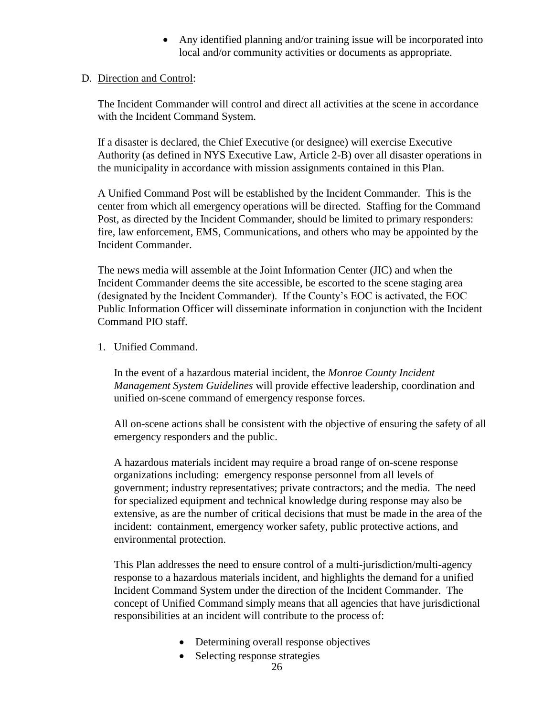Any identified planning and/or training issue will be incorporated into local and/or community activities or documents as appropriate.

#### D. Direction and Control:

The Incident Commander will control and direct all activities at the scene in accordance with the Incident Command System.

If a disaster is declared, the Chief Executive (or designee) will exercise Executive Authority (as defined in NYS Executive Law, Article 2-B) over all disaster operations in the municipality in accordance with mission assignments contained in this Plan.

A Unified Command Post will be established by the Incident Commander. This is the center from which all emergency operations will be directed. Staffing for the Command Post, as directed by the Incident Commander, should be limited to primary responders: fire, law enforcement, EMS, Communications, and others who may be appointed by the Incident Commander.

The news media will assemble at the Joint Information Center (JIC) and when the Incident Commander deems the site accessible, be escorted to the scene staging area (designated by the Incident Commander). If the County's EOC is activated, the EOC Public Information Officer will disseminate information in conjunction with the Incident Command PIO staff.

#### 1. Unified Command.

In the event of a hazardous material incident, the *Monroe County Incident Management System Guidelines* will provide effective leadership, coordination and unified on-scene command of emergency response forces.

All on-scene actions shall be consistent with the objective of ensuring the safety of all emergency responders and the public.

A hazardous materials incident may require a broad range of on-scene response organizations including: emergency response personnel from all levels of government; industry representatives; private contractors; and the media. The need for specialized equipment and technical knowledge during response may also be extensive, as are the number of critical decisions that must be made in the area of the incident: containment, emergency worker safety, public protective actions, and environmental protection.

This Plan addresses the need to ensure control of a multi-jurisdiction/multi-agency response to a hazardous materials incident, and highlights the demand for a unified Incident Command System under the direction of the Incident Commander. The concept of Unified Command simply means that all agencies that have jurisdictional responsibilities at an incident will contribute to the process of:

- Determining overall response objectives
- Selecting response strategies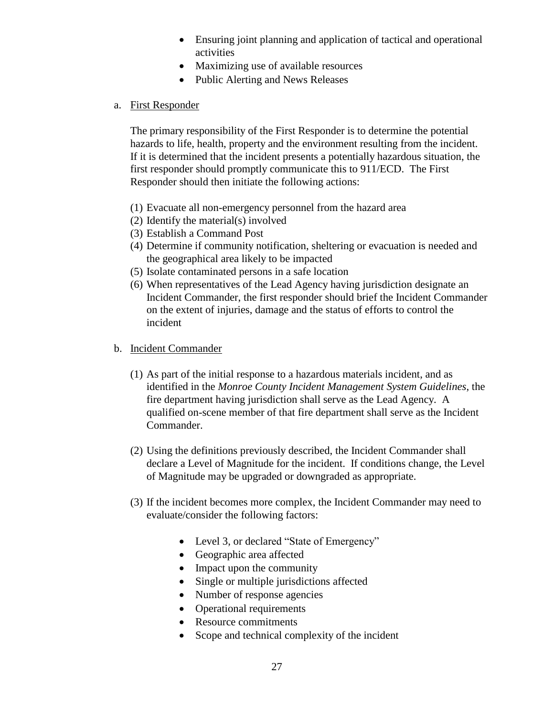- Ensuring joint planning and application of tactical and operational activities
- Maximizing use of available resources
- Public Alerting and News Releases

#### a. First Responder

The primary responsibility of the First Responder is to determine the potential hazards to life, health, property and the environment resulting from the incident. If it is determined that the incident presents a potentially hazardous situation, the first responder should promptly communicate this to 911/ECD. The First Responder should then initiate the following actions:

- (1) Evacuate all non-emergency personnel from the hazard area
- (2) Identify the material(s) involved
- (3) Establish a Command Post
- (4) Determine if community notification, sheltering or evacuation is needed and the geographical area likely to be impacted
- (5) Isolate contaminated persons in a safe location
- (6) When representatives of the Lead Agency having jurisdiction designate an Incident Commander, the first responder should brief the Incident Commander on the extent of injuries, damage and the status of efforts to control the incident
- b. Incident Commander
	- (1) As part of the initial response to a hazardous materials incident, and as identified in the *Monroe County Incident Management System Guidelines*, the fire department having jurisdiction shall serve as the Lead Agency. A qualified on-scene member of that fire department shall serve as the Incident Commander.
	- (2) Using the definitions previously described, the Incident Commander shall declare a Level of Magnitude for the incident. If conditions change, the Level of Magnitude may be upgraded or downgraded as appropriate.
	- (3) If the incident becomes more complex, the Incident Commander may need to evaluate/consider the following factors:
		- Level 3, or declared "State of Emergency"
		- Geographic area affected
		- Impact upon the community
		- Single or multiple jurisdictions affected
		- Number of response agencies
		- Operational requirements
		- Resource commitments
		- Scope and technical complexity of the incident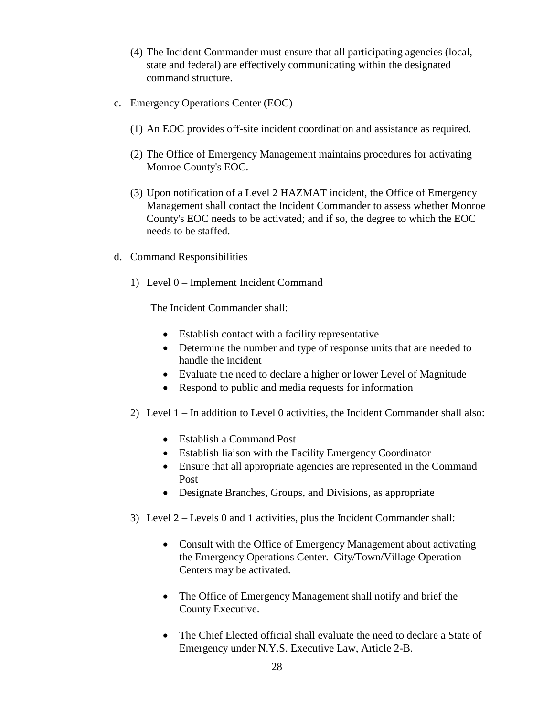- (4) The Incident Commander must ensure that all participating agencies (local, state and federal) are effectively communicating within the designated command structure.
- c. Emergency Operations Center (EOC)
	- (1) An EOC provides off-site incident coordination and assistance as required.
	- (2) The Office of Emergency Management maintains procedures for activating Monroe County's EOC.
	- (3) Upon notification of a Level 2 HAZMAT incident, the Office of Emergency Management shall contact the Incident Commander to assess whether Monroe County's EOC needs to be activated; and if so, the degree to which the EOC needs to be staffed.
- d. Command Responsibilities
	- 1) Level 0 Implement Incident Command

The Incident Commander shall:

- Establish contact with a facility representative
- Determine the number and type of response units that are needed to handle the incident
- Evaluate the need to declare a higher or lower Level of Magnitude
- Respond to public and media requests for information
- 2) Level 1 In addition to Level 0 activities, the Incident Commander shall also:
	- Establish a Command Post
	- Establish liaison with the Facility Emergency Coordinator
	- Ensure that all appropriate agencies are represented in the Command Post
	- Designate Branches, Groups, and Divisions, as appropriate
- 3) Level 2 Levels 0 and 1 activities, plus the Incident Commander shall:
	- Consult with the Office of Emergency Management about activating the Emergency Operations Center. City/Town/Village Operation Centers may be activated.
	- The Office of Emergency Management shall notify and brief the County Executive.
	- The Chief Elected official shall evaluate the need to declare a State of Emergency under N.Y.S. Executive Law, Article 2-B.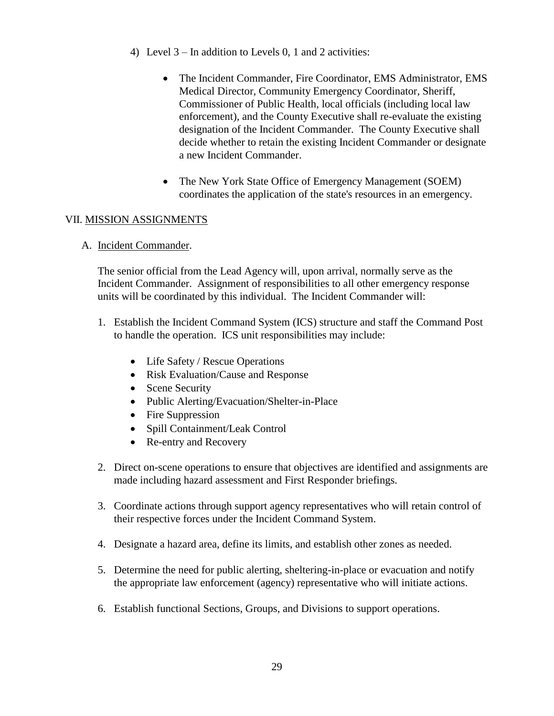- 4) Level 3 In addition to Levels 0, 1 and 2 activities:
	- The Incident Commander, Fire Coordinator, EMS Administrator, EMS Medical Director, Community Emergency Coordinator, Sheriff, Commissioner of Public Health, local officials (including local law enforcement), and the County Executive shall re-evaluate the existing designation of the Incident Commander. The County Executive shall decide whether to retain the existing Incident Commander or designate a new Incident Commander.
	- The New York State Office of Emergency Management (SOEM) coordinates the application of the state's resources in an emergency.

#### VII. MISSION ASSIGNMENTS

A. Incident Commander.

The senior official from the Lead Agency will, upon arrival, normally serve as the Incident Commander. Assignment of responsibilities to all other emergency response units will be coordinated by this individual. The Incident Commander will:

- 1. Establish the Incident Command System (ICS) structure and staff the Command Post to handle the operation. ICS unit responsibilities may include:
	- Life Safety / Rescue Operations
	- Risk Evaluation/Cause and Response
	- Scene Security
	- Public Alerting/Evacuation/Shelter-in-Place
	- Fire Suppression
	- Spill Containment/Leak Control
	- Re-entry and Recovery
- 2. Direct on-scene operations to ensure that objectives are identified and assignments are made including hazard assessment and First Responder briefings.
- 3. Coordinate actions through support agency representatives who will retain control of their respective forces under the Incident Command System.
- 4. Designate a hazard area, define its limits, and establish other zones as needed.
- 5. Determine the need for public alerting, sheltering-in-place or evacuation and notify the appropriate law enforcement (agency) representative who will initiate actions.
- 6. Establish functional Sections, Groups, and Divisions to support operations.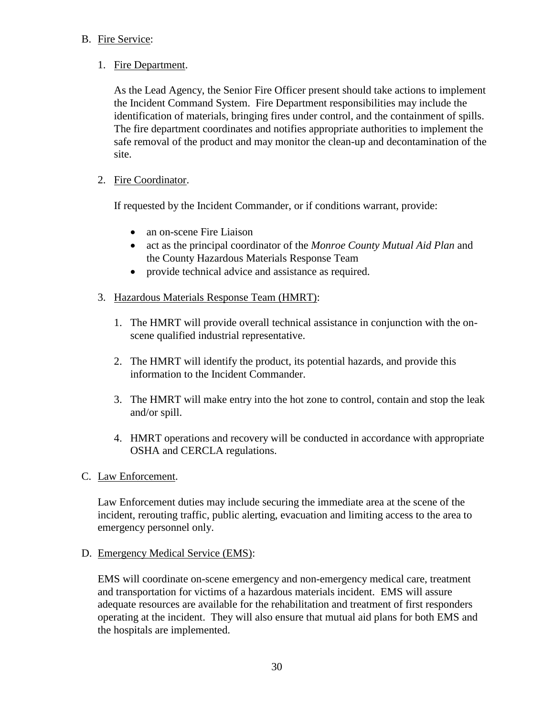#### B. Fire Service:

#### 1. Fire Department.

As the Lead Agency, the Senior Fire Officer present should take actions to implement the Incident Command System. Fire Department responsibilities may include the identification of materials, bringing fires under control, and the containment of spills. The fire department coordinates and notifies appropriate authorities to implement the safe removal of the product and may monitor the clean-up and decontamination of the site.

#### 2. Fire Coordinator.

If requested by the Incident Commander, or if conditions warrant, provide:

- an on-scene Fire Liaison
- act as the principal coordinator of the *Monroe County Mutual Aid Plan* and the County Hazardous Materials Response Team
- provide technical advice and assistance as required.

#### 3. Hazardous Materials Response Team (HMRT):

- 1. The HMRT will provide overall technical assistance in conjunction with the onscene qualified industrial representative.
- 2. The HMRT will identify the product, its potential hazards, and provide this information to the Incident Commander.
- 3. The HMRT will make entry into the hot zone to control, contain and stop the leak and/or spill.
- 4. HMRT operations and recovery will be conducted in accordance with appropriate OSHA and CERCLA regulations.
- C. Law Enforcement.

Law Enforcement duties may include securing the immediate area at the scene of the incident, rerouting traffic, public alerting, evacuation and limiting access to the area to emergency personnel only.

#### D. Emergency Medical Service (EMS):

EMS will coordinate on-scene emergency and non-emergency medical care, treatment and transportation for victims of a hazardous materials incident. EMS will assure adequate resources are available for the rehabilitation and treatment of first responders operating at the incident. They will also ensure that mutual aid plans for both EMS and the hospitals are implemented.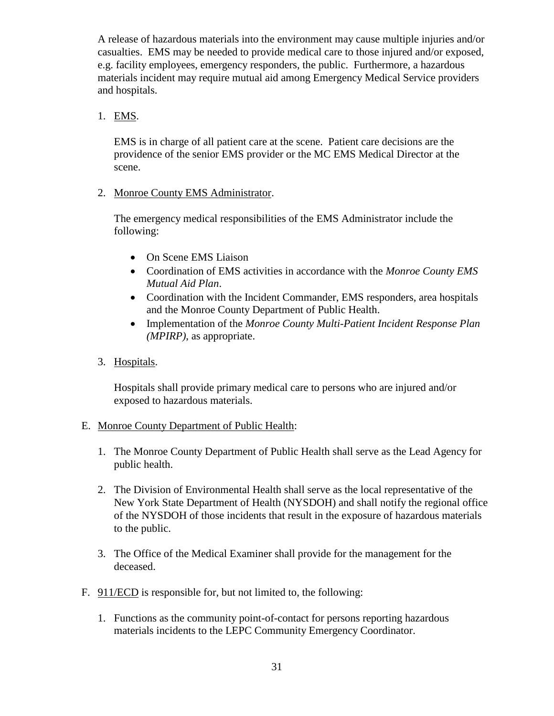A release of hazardous materials into the environment may cause multiple injuries and/or casualties. EMS may be needed to provide medical care to those injured and/or exposed, e.g. facility employees, emergency responders, the public. Furthermore, a hazardous materials incident may require mutual aid among Emergency Medical Service providers and hospitals.

#### 1. EMS.

EMS is in charge of all patient care at the scene. Patient care decisions are the providence of the senior EMS provider or the MC EMS Medical Director at the scene.

2. Monroe County EMS Administrator.

The emergency medical responsibilities of the EMS Administrator include the following:

- On Scene EMS Liaison
- Coordination of EMS activities in accordance with the *Monroe County EMS Mutual Aid Plan*.
- Coordination with the Incident Commander, EMS responders, area hospitals and the Monroe County Department of Public Health.
- Implementation of the *Monroe County Multi-Patient Incident Response Plan (MPIRP)*, as appropriate.
- 3. Hospitals.

Hospitals shall provide primary medical care to persons who are injured and/or exposed to hazardous materials.

#### E. Monroe County Department of Public Health:

- 1. The Monroe County Department of Public Health shall serve as the Lead Agency for public health.
- 2. The Division of Environmental Health shall serve as the local representative of the New York State Department of Health (NYSDOH) and shall notify the regional office of the NYSDOH of those incidents that result in the exposure of hazardous materials to the public.
- 3. The Office of the Medical Examiner shall provide for the management for the deceased.
- F. 911/ECD is responsible for, but not limited to, the following:
	- 1. Functions as the community point-of-contact for persons reporting hazardous materials incidents to the LEPC Community Emergency Coordinator.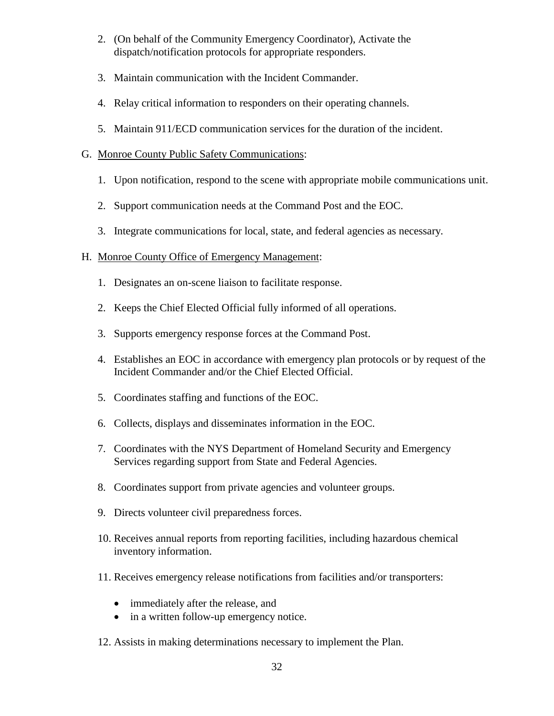- 2. (On behalf of the Community Emergency Coordinator), Activate the dispatch/notification protocols for appropriate responders.
- 3. Maintain communication with the Incident Commander.
- 4. Relay critical information to responders on their operating channels.
- 5. Maintain 911/ECD communication services for the duration of the incident.

#### G. Monroe County Public Safety Communications:

- 1. Upon notification, respond to the scene with appropriate mobile communications unit.
- 2. Support communication needs at the Command Post and the EOC.
- 3. Integrate communications for local, state, and federal agencies as necessary.

# H. Monroe County Office of Emergency Management:

- 1. Designates an on-scene liaison to facilitate response.
- 2. Keeps the Chief Elected Official fully informed of all operations.
- 3. Supports emergency response forces at the Command Post.
- 4. Establishes an EOC in accordance with emergency plan protocols or by request of the Incident Commander and/or the Chief Elected Official.
- 5. Coordinates staffing and functions of the EOC.
- 6. Collects, displays and disseminates information in the EOC.
- 7. Coordinates with the NYS Department of Homeland Security and Emergency Services regarding support from State and Federal Agencies.
- 8. Coordinates support from private agencies and volunteer groups.
- 9. Directs volunteer civil preparedness forces.
- 10. Receives annual reports from reporting facilities, including hazardous chemical inventory information.
- 11. Receives emergency release notifications from facilities and/or transporters:
	- immediately after the release, and
	- in a written follow-up emergency notice.
- 12. Assists in making determinations necessary to implement the Plan.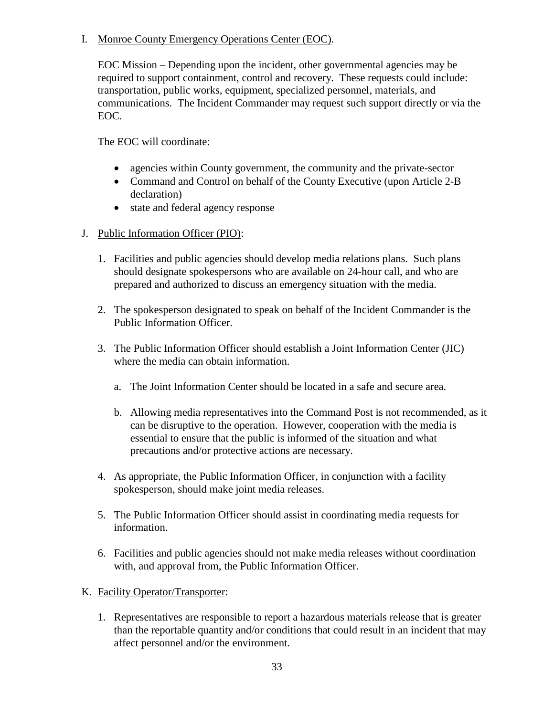I. Monroe County Emergency Operations Center (EOC).

EOC Mission – Depending upon the incident, other governmental agencies may be required to support containment, control and recovery. These requests could include: transportation, public works, equipment, specialized personnel, materials, and communications. The Incident Commander may request such support directly or via the EOC.

The EOC will coordinate:

- agencies within County government, the community and the private-sector
- Command and Control on behalf of the County Executive (upon Article 2-B) declaration)
- state and federal agency response
- J. Public Information Officer (PIO):
	- 1. Facilities and public agencies should develop media relations plans. Such plans should designate spokespersons who are available on 24-hour call, and who are prepared and authorized to discuss an emergency situation with the media.
	- 2. The spokesperson designated to speak on behalf of the Incident Commander is the Public Information Officer.
	- 3. The Public Information Officer should establish a Joint Information Center (JIC) where the media can obtain information.
		- a. The Joint Information Center should be located in a safe and secure area.
		- b. Allowing media representatives into the Command Post is not recommended, as it can be disruptive to the operation. However, cooperation with the media is essential to ensure that the public is informed of the situation and what precautions and/or protective actions are necessary.
	- 4. As appropriate, the Public Information Officer, in conjunction with a facility spokesperson, should make joint media releases.
	- 5. The Public Information Officer should assist in coordinating media requests for information.
	- 6. Facilities and public agencies should not make media releases without coordination with, and approval from, the Public Information Officer.
- K. Facility Operator/Transporter:
	- 1. Representatives are responsible to report a hazardous materials release that is greater than the reportable quantity and/or conditions that could result in an incident that may affect personnel and/or the environment.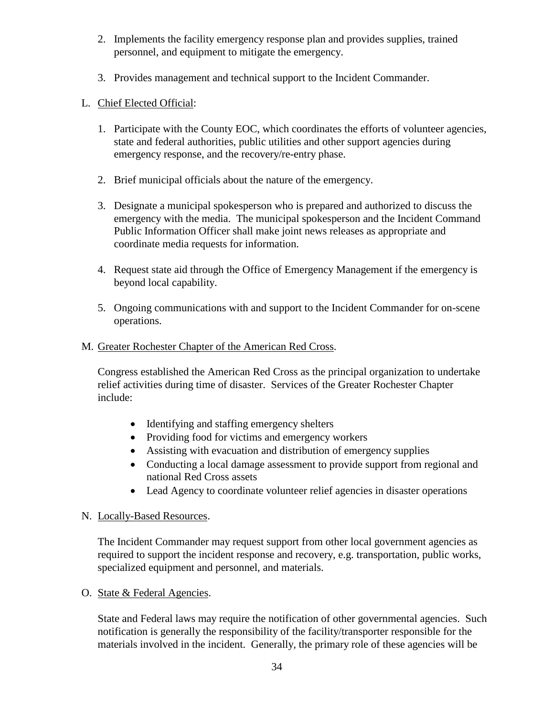- 2. Implements the facility emergency response plan and provides supplies, trained personnel, and equipment to mitigate the emergency.
- 3. Provides management and technical support to the Incident Commander.

# L. Chief Elected Official:

- 1. Participate with the County EOC, which coordinates the efforts of volunteer agencies, state and federal authorities, public utilities and other support agencies during emergency response, and the recovery/re-entry phase.
- 2. Brief municipal officials about the nature of the emergency.
- 3. Designate a municipal spokesperson who is prepared and authorized to discuss the emergency with the media. The municipal spokesperson and the Incident Command Public Information Officer shall make joint news releases as appropriate and coordinate media requests for information.
- 4. Request state aid through the Office of Emergency Management if the emergency is beyond local capability.
- 5. Ongoing communications with and support to the Incident Commander for on-scene operations.
- M. Greater Rochester Chapter of the American Red Cross.

Congress established the American Red Cross as the principal organization to undertake relief activities during time of disaster. Services of the Greater Rochester Chapter include:

- Identifying and staffing emergency shelters
- Providing food for victims and emergency workers
- Assisting with evacuation and distribution of emergency supplies
- Conducting a local damage assessment to provide support from regional and national Red Cross assets
- Lead Agency to coordinate volunteer relief agencies in disaster operations

#### N. Locally-Based Resources.

The Incident Commander may request support from other local government agencies as required to support the incident response and recovery, e.g. transportation, public works, specialized equipment and personnel, and materials.

O. State & Federal Agencies.

State and Federal laws may require the notification of other governmental agencies. Such notification is generally the responsibility of the facility/transporter responsible for the materials involved in the incident. Generally, the primary role of these agencies will be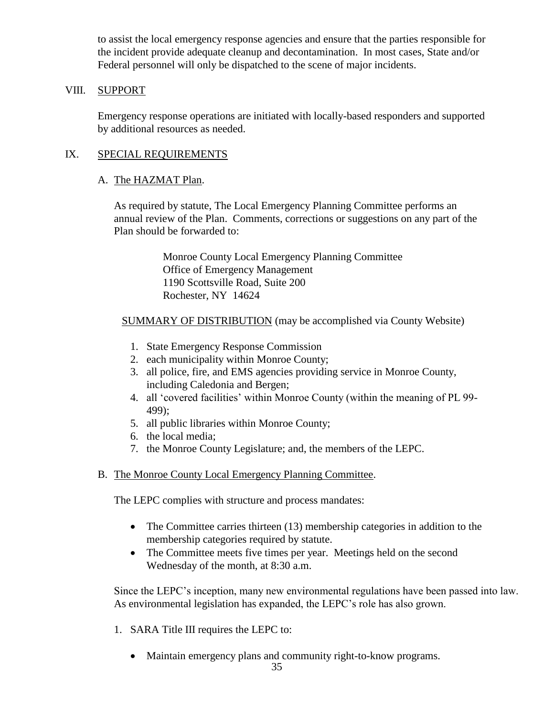to assist the local emergency response agencies and ensure that the parties responsible for the incident provide adequate cleanup and decontamination. In most cases, State and/or Federal personnel will only be dispatched to the scene of major incidents.

#### VIII. SUPPORT

Emergency response operations are initiated with locally-based responders and supported by additional resources as needed.

#### IX. SPECIAL REQUIREMENTS

#### A. The HAZMAT Plan.

As required by statute, The Local Emergency Planning Committee performs an annual review of the Plan. Comments, corrections or suggestions on any part of the Plan should be forwarded to:

> Monroe County Local Emergency Planning Committee Office of Emergency Management 1190 Scottsville Road, Suite 200 Rochester, NY 14624

#### SUMMARY OF DISTRIBUTION (may be accomplished via County Website)

- 1. State Emergency Response Commission
- 2. each municipality within Monroe County;
- 3. all police, fire, and EMS agencies providing service in Monroe County, including Caledonia and Bergen;
- 4. all 'covered facilities' within Monroe County (within the meaning of PL 99- 499);
- 5. all public libraries within Monroe County;
- 6. the local media;
- 7. the Monroe County Legislature; and, the members of the LEPC.
- B. The Monroe County Local Emergency Planning Committee.

The LEPC complies with structure and process mandates:

- The Committee carries thirteen (13) membership categories in addition to the membership categories required by statute.
- The Committee meets five times per year. Meetings held on the second Wednesday of the month, at 8:30 a.m.

Since the LEPC's inception, many new environmental regulations have been passed into law. As environmental legislation has expanded, the LEPC's role has also grown.

- 1. SARA Title III requires the LEPC to:
	- Maintain emergency plans and community right-to-know programs.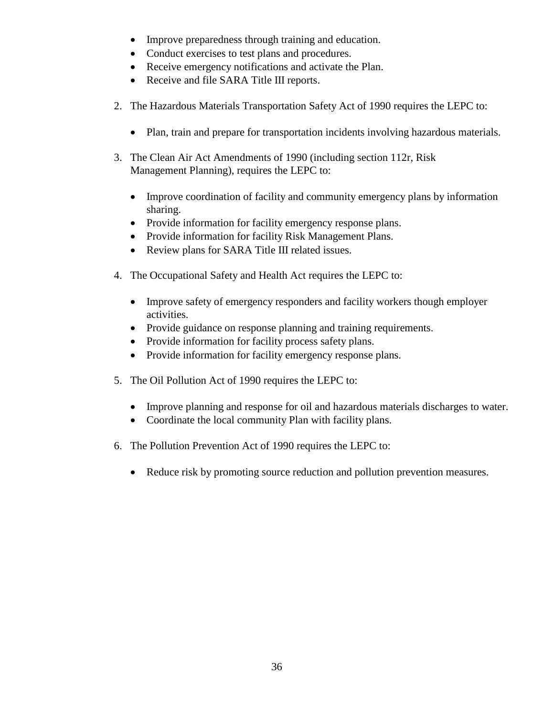- Improve preparedness through training and education.
- Conduct exercises to test plans and procedures.
- Receive emergency notifications and activate the Plan.
- Receive and file SARA Title III reports.
- 2. The Hazardous Materials Transportation Safety Act of 1990 requires the LEPC to:
	- Plan, train and prepare for transportation incidents involving hazardous materials.
- 3. The Clean Air Act Amendments of 1990 (including section 112r, Risk Management Planning), requires the LEPC to:
	- Improve coordination of facility and community emergency plans by information sharing.
	- Provide information for facility emergency response plans.
	- Provide information for facility Risk Management Plans.
	- Review plans for SARA Title III related issues.
- 4. The Occupational Safety and Health Act requires the LEPC to:
	- Improve safety of emergency responders and facility workers though employer activities.
	- Provide guidance on response planning and training requirements.
	- Provide information for facility process safety plans.
	- Provide information for facility emergency response plans.
- 5. The Oil Pollution Act of 1990 requires the LEPC to:
	- Improve planning and response for oil and hazardous materials discharges to water.
	- Coordinate the local community Plan with facility plans.
- 6. The Pollution Prevention Act of 1990 requires the LEPC to:
	- Reduce risk by promoting source reduction and pollution prevention measures.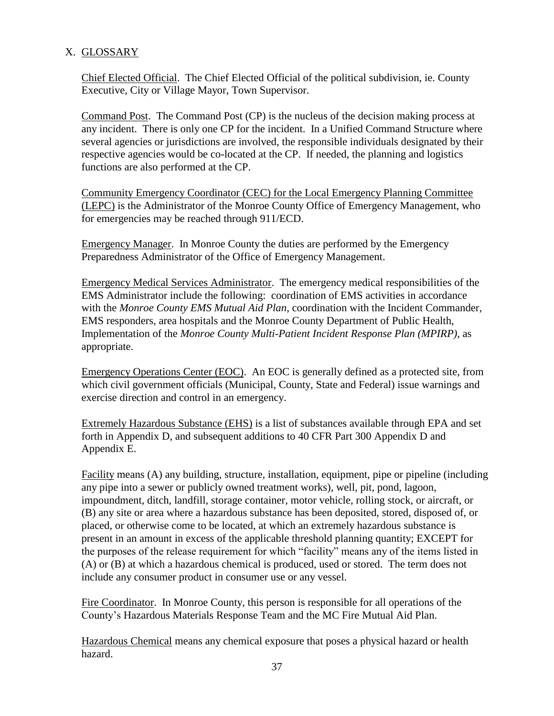# X. GLOSSARY

Chief Elected Official. The Chief Elected Official of the political subdivision, ie. County Executive, City or Village Mayor, Town Supervisor.

Command Post. The Command Post (CP) is the nucleus of the decision making process at any incident. There is only one CP for the incident. In a Unified Command Structure where several agencies or jurisdictions are involved, the responsible individuals designated by their respective agencies would be co-located at the CP. If needed, the planning and logistics functions are also performed at the CP.

Community Emergency Coordinator (CEC) for the Local Emergency Planning Committee (LEPC) is the Administrator of the Monroe County Office of Emergency Management, who for emergencies may be reached through 911/ECD.

Emergency Manager. In Monroe County the duties are performed by the Emergency Preparedness Administrator of the Office of Emergency Management.

Emergency Medical Services Administrator. The emergency medical responsibilities of the EMS Administrator include the following: coordination of EMS activities in accordance with the *Monroe County EMS Mutual Aid Plan*, coordination with the Incident Commander, EMS responders, area hospitals and the Monroe County Department of Public Health, Implementation of the *Monroe County Multi-Patient Incident Response Plan (MPIRP)*, as appropriate.

Emergency Operations Center (EOC). An EOC is generally defined as a protected site, from which civil government officials (Municipal, County, State and Federal) issue warnings and exercise direction and control in an emergency.

Extremely Hazardous Substance (EHS) is a list of substances available through EPA and set forth in Appendix D, and subsequent additions to 40 CFR Part 300 Appendix D and Appendix E.

Facility means (A) any building, structure, installation, equipment, pipe or pipeline (including any pipe into a sewer or publicly owned treatment works), well, pit, pond, lagoon, impoundment, ditch, landfill, storage container, motor vehicle, rolling stock, or aircraft, or (B) any site or area where a hazardous substance has been deposited, stored, disposed of, or placed, or otherwise come to be located, at which an extremely hazardous substance is present in an amount in excess of the applicable threshold planning quantity; EXCEPT for the purposes of the release requirement for which "facility" means any of the items listed in (A) or (B) at which a hazardous chemical is produced, used or stored. The term does not include any consumer product in consumer use or any vessel.

Fire Coordinator. In Monroe County, this person is responsible for all operations of the County's Hazardous Materials Response Team and the MC Fire Mutual Aid Plan.

Hazardous Chemical means any chemical exposure that poses a physical hazard or health hazard.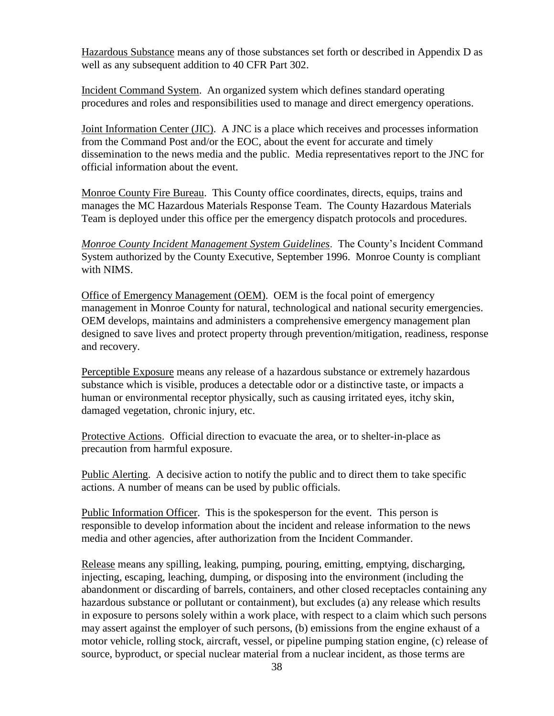Hazardous Substance means any of those substances set forth or described in Appendix D as well as any subsequent addition to 40 CFR Part 302.

Incident Command System. An organized system which defines standard operating procedures and roles and responsibilities used to manage and direct emergency operations.

Joint Information Center (JIC). A JNC is a place which receives and processes information from the Command Post and/or the EOC, about the event for accurate and timely dissemination to the news media and the public. Media representatives report to the JNC for official information about the event.

Monroe County Fire Bureau. This County office coordinates, directs, equips, trains and manages the MC Hazardous Materials Response Team. The County Hazardous Materials Team is deployed under this office per the emergency dispatch protocols and procedures.

*Monroe County Incident Management System Guidelines*. The County's Incident Command System authorized by the County Executive, September 1996. Monroe County is compliant with NIMS.

Office of Emergency Management (OEM). OEM is the focal point of emergency management in Monroe County for natural, technological and national security emergencies. OEM develops, maintains and administers a comprehensive emergency management plan designed to save lives and protect property through prevention/mitigation, readiness, response and recovery.

Perceptible Exposure means any release of a hazardous substance or extremely hazardous substance which is visible, produces a detectable odor or a distinctive taste, or impacts a human or environmental receptor physically, such as causing irritated eyes, itchy skin, damaged vegetation, chronic injury, etc.

Protective Actions. Official direction to evacuate the area, or to shelter-in-place as precaution from harmful exposure.

Public Alerting. A decisive action to notify the public and to direct them to take specific actions. A number of means can be used by public officials.

Public Information Officer. This is the spokesperson for the event. This person is responsible to develop information about the incident and release information to the news media and other agencies, after authorization from the Incident Commander.

Release means any spilling, leaking, pumping, pouring, emitting, emptying, discharging, injecting, escaping, leaching, dumping, or disposing into the environment (including the abandonment or discarding of barrels, containers, and other closed receptacles containing any hazardous substance or pollutant or containment), but excludes (a) any release which results in exposure to persons solely within a work place, with respect to a claim which such persons may assert against the employer of such persons, (b) emissions from the engine exhaust of a motor vehicle, rolling stock, aircraft, vessel, or pipeline pumping station engine, (c) release of source, byproduct, or special nuclear material from a nuclear incident, as those terms are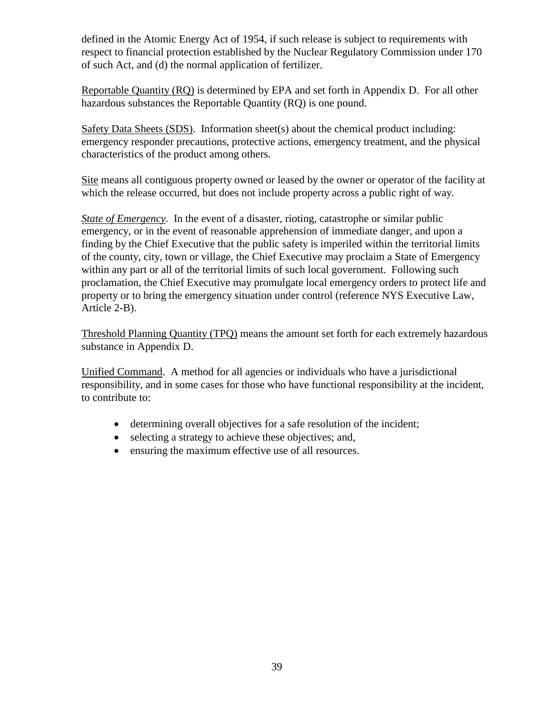defined in the Atomic Energy Act of 1954, if such release is subject to requirements with respect to financial protection established by the Nuclear Regulatory Commission under 170 of such Act, and (d) the normal application of fertilizer.

Reportable Quantity (RQ) is determined by EPA and set forth in Appendix D. For all other hazardous substances the Reportable Quantity (RQ) is one pound.

Safety Data Sheets (SDS). Information sheet(s) about the chemical product including: emergency responder precautions, protective actions, emergency treatment, and the physical characteristics of the product among others.

Site means all contiguous property owned or leased by the owner or operator of the facility at which the release occurred, but does not include property across a public right of way.

*State of Emergency*. In the event of a disaster, rioting, catastrophe or similar public emergency, or in the event of reasonable apprehension of immediate danger, and upon a finding by the Chief Executive that the public safety is imperiled within the territorial limits of the county, city, town or village, the Chief Executive may proclaim a State of Emergency within any part or all of the territorial limits of such local government. Following such proclamation, the Chief Executive may promulgate local emergency orders to protect life and property or to bring the emergency situation under control (reference NYS Executive Law, Article 2-B).

Threshold Planning Quantity (TPQ) means the amount set forth for each extremely hazardous substance in Appendix D.

Unified Command. A method for all agencies or individuals who have a jurisdictional responsibility, and in some cases for those who have functional responsibility at the incident, to contribute to:

- determining overall objectives for a safe resolution of the incident;
- selecting a strategy to achieve these objectives; and,
- ensuring the maximum effective use of all resources.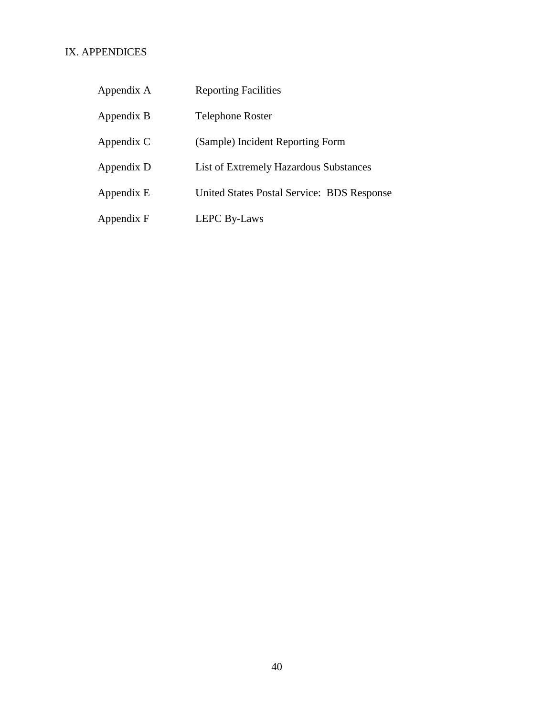# IX. APPENDICES

| Appendix A | <b>Reporting Facilities</b>                       |
|------------|---------------------------------------------------|
| Appendix B | <b>Telephone Roster</b>                           |
| Appendix C | (Sample) Incident Reporting Form                  |
| Appendix D | List of Extremely Hazardous Substances            |
| Appendix E | <b>United States Postal Service: BDS Response</b> |
| Appendix F | <b>LEPC By-Laws</b>                               |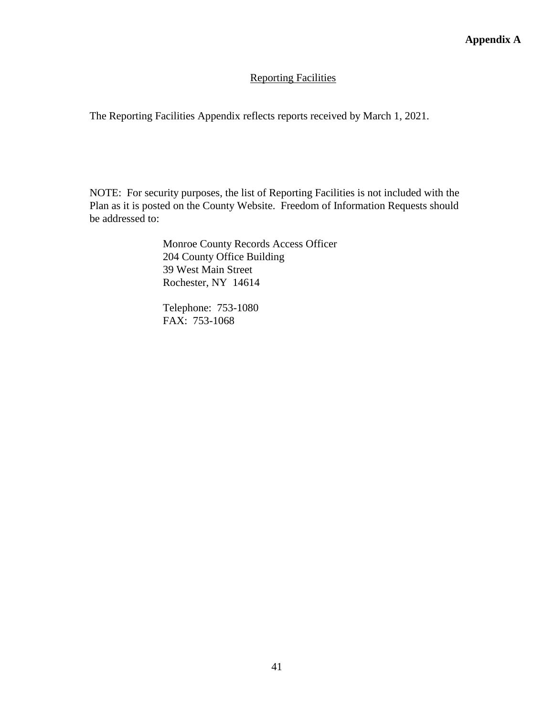#### Reporting Facilities

The Reporting Facilities Appendix reflects reports received by March 1, 2021.

NOTE: For security purposes, the list of Reporting Facilities is not included with the Plan as it is posted on the County Website. Freedom of Information Requests should be addressed to:

> Monroe County Records Access Officer 204 County Office Building 39 West Main Street Rochester, NY 14614

Telephone: 753-1080 FAX: 753-1068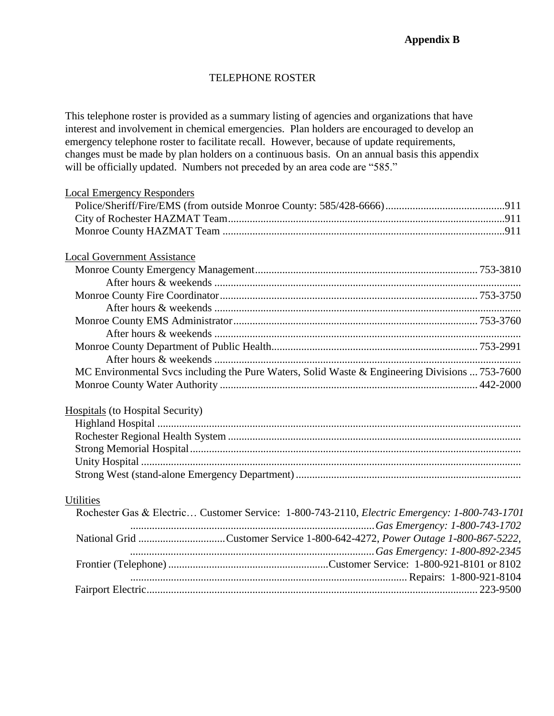#### TELEPHONE ROSTER

This telephone roster is provided as a summary listing of agencies and organizations that have interest and involvement in chemical emergencies. Plan holders are encouraged to develop an emergency telephone roster to facilitate recall. However, because of update requirements, changes must be made by plan holders on a continuous basis. On an annual basis this appendix will be officially updated. Numbers not preceded by an area code are "585."

| <b>Local Emergency Responders</b>                                                                                 |  |
|-------------------------------------------------------------------------------------------------------------------|--|
|                                                                                                                   |  |
|                                                                                                                   |  |
|                                                                                                                   |  |
| <b>Local Government Assistance</b>                                                                                |  |
|                                                                                                                   |  |
|                                                                                                                   |  |
|                                                                                                                   |  |
|                                                                                                                   |  |
|                                                                                                                   |  |
|                                                                                                                   |  |
|                                                                                                                   |  |
|                                                                                                                   |  |
| MC Environmental Svcs including the Pure Waters, Solid Waste & Engineering Divisions  753-7600                    |  |
|                                                                                                                   |  |
|                                                                                                                   |  |
| <b>Hospitals</b> (to Hospital Security)                                                                           |  |
|                                                                                                                   |  |
|                                                                                                                   |  |
|                                                                                                                   |  |
|                                                                                                                   |  |
|                                                                                                                   |  |
|                                                                                                                   |  |
| <b>Utilities</b><br>Rochester Gas & Electric Customer Service: 1-800-743-2110, Electric Emergency: 1-800-743-1701 |  |
|                                                                                                                   |  |
| National Grid Customer Service 1-800-642-4272, Power Outage 1-800-867-5222,                                       |  |
|                                                                                                                   |  |
|                                                                                                                   |  |
|                                                                                                                   |  |
|                                                                                                                   |  |
|                                                                                                                   |  |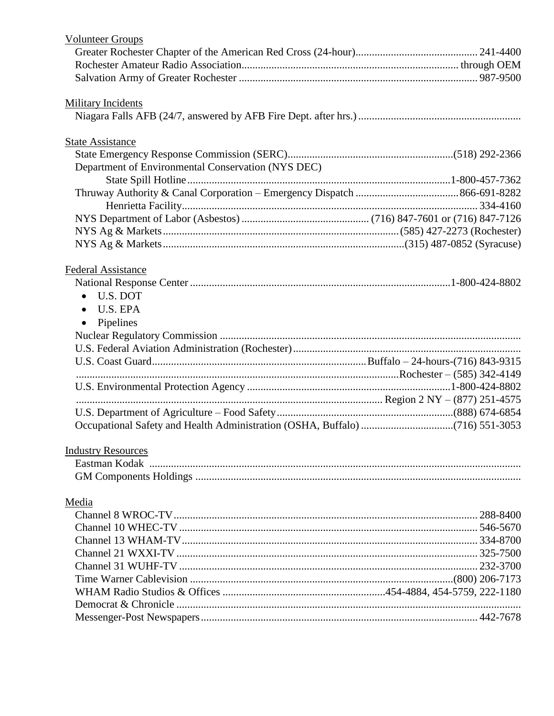| <b>Volunteer Groups</b>                            |  |
|----------------------------------------------------|--|
|                                                    |  |
|                                                    |  |
|                                                    |  |
|                                                    |  |
| <b>Military Incidents</b>                          |  |
|                                                    |  |
| <b>State Assistance</b>                            |  |
|                                                    |  |
| Department of Environmental Conservation (NYS DEC) |  |
|                                                    |  |
|                                                    |  |
|                                                    |  |
|                                                    |  |
|                                                    |  |
|                                                    |  |
|                                                    |  |
| <b>Federal Assistance</b>                          |  |
|                                                    |  |
| U.S. DOT<br>$\bullet$                              |  |
| U.S. EPA<br>$\bullet$                              |  |
|                                                    |  |
| Pipelines<br>$\bullet$                             |  |
|                                                    |  |
|                                                    |  |
|                                                    |  |
|                                                    |  |
|                                                    |  |
|                                                    |  |
|                                                    |  |
|                                                    |  |
| <b>Industry Resources</b>                          |  |
|                                                    |  |
|                                                    |  |
|                                                    |  |
| Media                                              |  |
|                                                    |  |
|                                                    |  |
|                                                    |  |
|                                                    |  |
|                                                    |  |
|                                                    |  |
|                                                    |  |
|                                                    |  |
|                                                    |  |
|                                                    |  |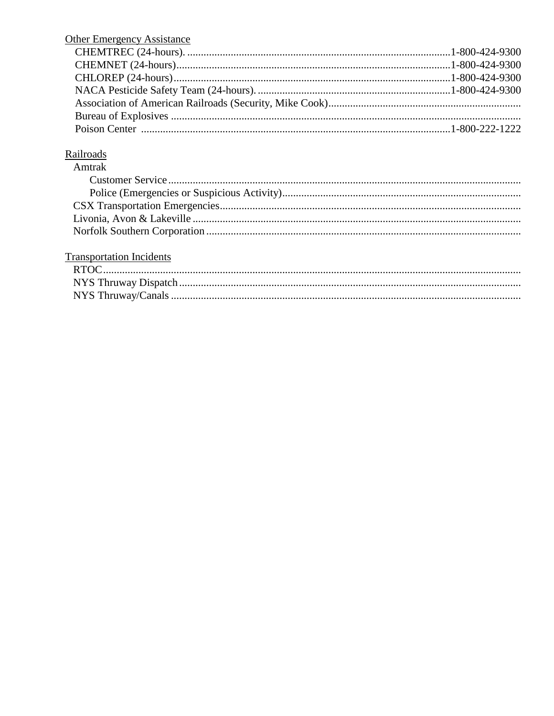| <b>Other Emergency Assistance</b> |  |
|-----------------------------------|--|
|                                   |  |
|                                   |  |
|                                   |  |
|                                   |  |
|                                   |  |
|                                   |  |
|                                   |  |

# Railroads

| Amtrak |
|--------|
|        |
|        |
|        |
|        |
|        |

# **Transportation Incidents**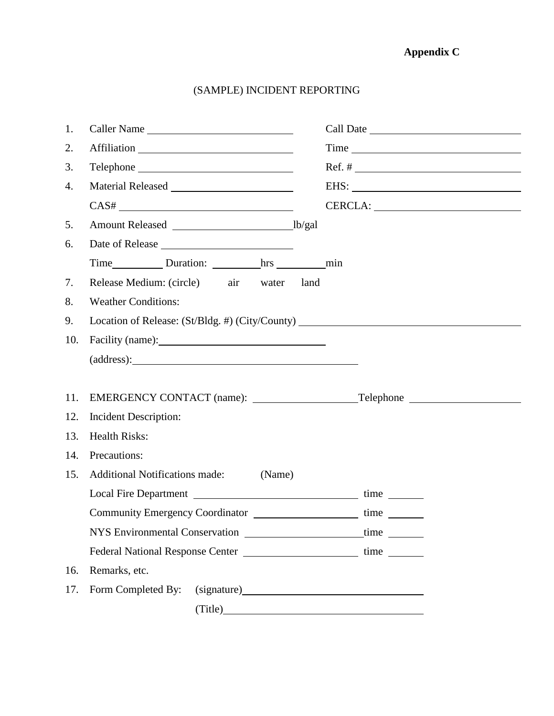# **Appendix C**

# (SAMPLE) INCIDENT REPORTING

| 1.  | Caller Name                                                                      |  |      |
|-----|----------------------------------------------------------------------------------|--|------|
| 2.  |                                                                                  |  | Time |
| 3.  |                                                                                  |  |      |
| 4.  |                                                                                  |  |      |
|     |                                                                                  |  |      |
| 5.  |                                                                                  |  |      |
| 6.  |                                                                                  |  |      |
|     |                                                                                  |  |      |
| 7.  | Release Medium: (circle) air water land                                          |  |      |
| 8.  | <b>Weather Conditions:</b>                                                       |  |      |
| 9.  | Location of Release: (St/Bldg. #) (City/County) ________________________________ |  |      |
| 10. |                                                                                  |  |      |
|     | (address):                                                                       |  |      |
|     |                                                                                  |  |      |
| 11. |                                                                                  |  |      |
| 12. | Incident Description:                                                            |  |      |
| 13. | <b>Health Risks:</b>                                                             |  |      |
| 14. | Precautions:                                                                     |  |      |
| 15. | <b>Additional Notifications made:</b><br>(Name)                                  |  |      |
|     |                                                                                  |  |      |
|     | Community Emergency Coordinator _________________________time __________________ |  |      |
|     | NYS Environmental Conservation                                                   |  |      |
|     |                                                                                  |  |      |
| 16. | Remarks, etc.                                                                    |  |      |
| 17. | Form Completed By:                                                               |  |      |
|     |                                                                                  |  |      |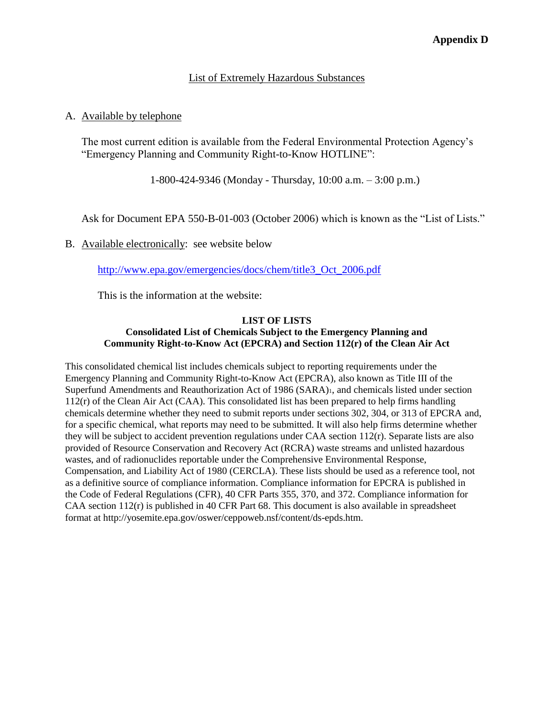#### List of Extremely Hazardous Substances

#### A. Available by telephone

The most current edition is available from the Federal Environmental Protection Agency's "Emergency Planning and Community Right-to-Know HOTLINE":

1-800-424-9346 (Monday - Thursday, 10:00 a.m. – 3:00 p.m.)

Ask for Document EPA 550-B-01-003 (October 2006) which is known as the "List of Lists."

B. Available electronically: see website below

[http://www.epa.gov/emergencies/docs/chem/title3\\_Oct\\_2006.pdf](http://www.epa.gov/emergencies/docs/chem/title3_Oct_2006.pdf)

This is the information at the website:

#### **LIST OF LISTS Consolidated List of Chemicals Subject to the Emergency Planning and Community Right-to-Know Act (EPCRA) and Section 112(r) of the Clean Air Act**

This consolidated chemical list includes chemicals subject to reporting requirements under the Emergency Planning and Community Right-to-Know Act (EPCRA), also known as Title III of the Superfund Amendments and Reauthorization Act of 1986 (SARA)1, and chemicals listed under section 112(r) of the Clean Air Act (CAA). This consolidated list has been prepared to help firms handling chemicals determine whether they need to submit reports under sections 302, 304, or 313 of EPCRA and, for a specific chemical, what reports may need to be submitted. It will also help firms determine whether they will be subject to accident prevention regulations under CAA section 112(r). Separate lists are also provided of Resource Conservation and Recovery Act (RCRA) waste streams and unlisted hazardous wastes, and of radionuclides reportable under the Comprehensive Environmental Response, Compensation, and Liability Act of 1980 (CERCLA). These lists should be used as a reference tool, not as a definitive source of compliance information. Compliance information for EPCRA is published in the Code of Federal Regulations (CFR), 40 CFR Parts 355, 370, and 372. Compliance information for CAA section  $112(r)$  is published in 40 CFR Part 68. This document is also available in spreadsheet format at http://yosemite.epa.gov/oswer/ceppoweb.nsf/content/ds-epds.htm.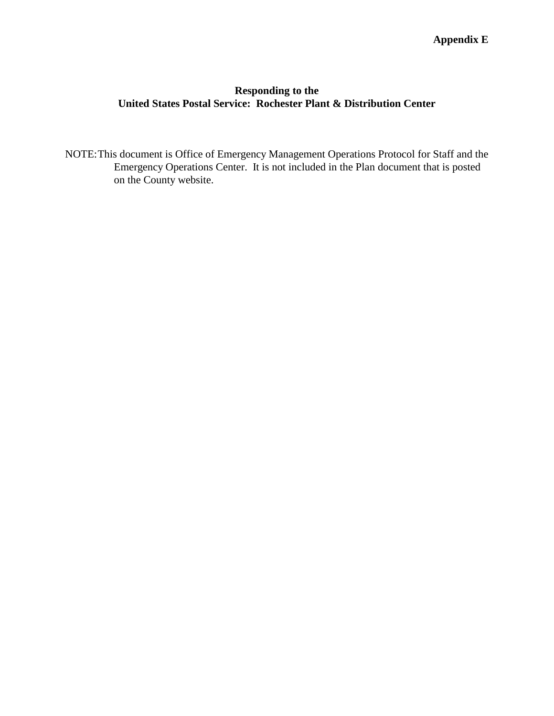# **Responding to the United States Postal Service: Rochester Plant & Distribution Center**

NOTE:This document is Office of Emergency Management Operations Protocol for Staff and the Emergency Operations Center. It is not included in the Plan document that is posted on the County website.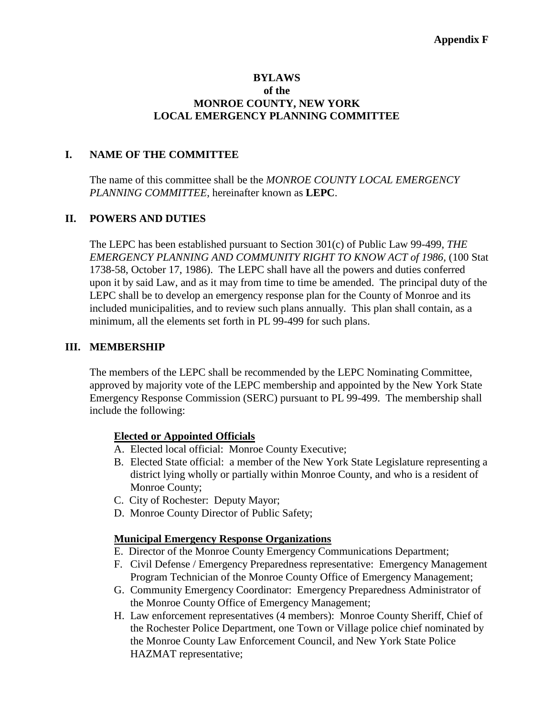#### **BYLAWS of the MONROE COUNTY, NEW YORK LOCAL EMERGENCY PLANNING COMMITTEE**

#### **I. NAME OF THE COMMITTEE**

The name of this committee shall be the *MONROE COUNTY LOCAL EMERGENCY PLANNING COMMITTEE*, hereinafter known as **LEPC**.

#### **II. POWERS AND DUTIES**

The LEPC has been established pursuant to Section 301(c) of Public Law 99-499, *THE EMERGENCY PLANNING AND COMMUNITY RIGHT TO KNOW ACT of 1986,* (100 Stat 1738-58, October 17, 1986). The LEPC shall have all the powers and duties conferred upon it by said Law, and as it may from time to time be amended. The principal duty of the LEPC shall be to develop an emergency response plan for the County of Monroe and its included municipalities, and to review such plans annually. This plan shall contain, as a minimum, all the elements set forth in PL 99-499 for such plans.

#### **III. MEMBERSHIP**

The members of the LEPC shall be recommended by the LEPC Nominating Committee, approved by majority vote of the LEPC membership and appointed by the New York State Emergency Response Commission (SERC) pursuant to PL 99-499. The membership shall include the following:

#### **Elected or Appointed Officials**

- A. Elected local official: Monroe County Executive;
- B. Elected State official: a member of the New York State Legislature representing a district lying wholly or partially within Monroe County, and who is a resident of Monroe County;
- C. City of Rochester: Deputy Mayor;
- D. Monroe County Director of Public Safety;

#### **Municipal Emergency Response Organizations**

- E. Director of the Monroe County Emergency Communications Department;
- F. Civil Defense / Emergency Preparedness representative: Emergency Management Program Technician of the Monroe County Office of Emergency Management;
- G. Community Emergency Coordinator: Emergency Preparedness Administrator of the Monroe County Office of Emergency Management;
- H. Law enforcement representatives (4 members): Monroe County Sheriff, Chief of the Rochester Police Department, one Town or Village police chief nominated by the Monroe County Law Enforcement Council, and New York State Police HAZMAT representative;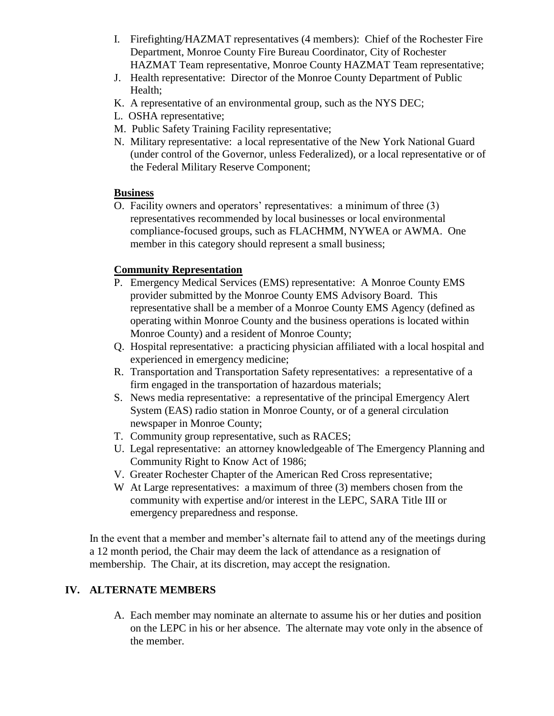- I. Firefighting/HAZMAT representatives (4 members): Chief of the Rochester Fire Department, Monroe County Fire Bureau Coordinator, City of Rochester HAZMAT Team representative, Monroe County HAZMAT Team representative;
- J. Health representative: Director of the Monroe County Department of Public Health;
- K. A representative of an environmental group, such as the NYS DEC;
- L. OSHA representative;
- M. Public Safety Training Facility representative;
- N. Military representative: a local representative of the New York National Guard (under control of the Governor, unless Federalized), or a local representative or of the Federal Military Reserve Component;

# **Business**

O. Facility owners and operators' representatives: a minimum of three (3) representatives recommended by local businesses or local environmental compliance-focused groups, such as FLACHMM, NYWEA or AWMA. One member in this category should represent a small business;

# **Community Representation**

- P. Emergency Medical Services (EMS) representative: A Monroe County EMS provider submitted by the Monroe County EMS Advisory Board. This representative shall be a member of a Monroe County EMS Agency (defined as operating within Monroe County and the business operations is located within Monroe County) and a resident of Monroe County;
- Q. Hospital representative: a practicing physician affiliated with a local hospital and experienced in emergency medicine;
- R. Transportation and Transportation Safety representatives: a representative of a firm engaged in the transportation of hazardous materials;
- S. News media representative: a representative of the principal Emergency Alert System (EAS) radio station in Monroe County, or of a general circulation newspaper in Monroe County;
- T. Community group representative, such as RACES;
- U. Legal representative: an attorney knowledgeable of The Emergency Planning and Community Right to Know Act of 1986;
- V. Greater Rochester Chapter of the American Red Cross representative;
- W At Large representatives: a maximum of three (3) members chosen from the community with expertise and/or interest in the LEPC, SARA Title III or emergency preparedness and response.

In the event that a member and member's alternate fail to attend any of the meetings during a 12 month period, the Chair may deem the lack of attendance as a resignation of membership. The Chair, at its discretion, may accept the resignation.

# **IV. ALTERNATE MEMBERS**

A. Each member may nominate an alternate to assume his or her duties and position on the LEPC in his or her absence. The alternate may vote only in the absence of the member.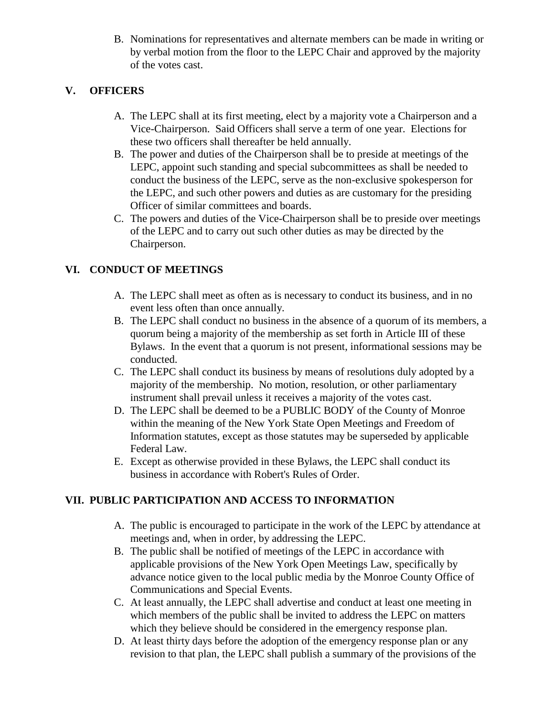B. Nominations for representatives and alternate members can be made in writing or by verbal motion from the floor to the LEPC Chair and approved by the majority of the votes cast.

# **V. OFFICERS**

- A. The LEPC shall at its first meeting, elect by a majority vote a Chairperson and a Vice-Chairperson. Said Officers shall serve a term of one year. Elections for these two officers shall thereafter be held annually.
- B. The power and duties of the Chairperson shall be to preside at meetings of the LEPC, appoint such standing and special subcommittees as shall be needed to conduct the business of the LEPC, serve as the non-exclusive spokesperson for the LEPC, and such other powers and duties as are customary for the presiding Officer of similar committees and boards.
- C. The powers and duties of the Vice-Chairperson shall be to preside over meetings of the LEPC and to carry out such other duties as may be directed by the Chairperson.

# **VI. CONDUCT OF MEETINGS**

- A. The LEPC shall meet as often as is necessary to conduct its business, and in no event less often than once annually.
- B. The LEPC shall conduct no business in the absence of a quorum of its members, a quorum being a majority of the membership as set forth in Article III of these Bylaws. In the event that a quorum is not present, informational sessions may be conducted.
- C. The LEPC shall conduct its business by means of resolutions duly adopted by a majority of the membership. No motion, resolution, or other parliamentary instrument shall prevail unless it receives a majority of the votes cast.
- D. The LEPC shall be deemed to be a PUBLIC BODY of the County of Monroe within the meaning of the New York State Open Meetings and Freedom of Information statutes, except as those statutes may be superseded by applicable Federal Law.
- E. Except as otherwise provided in these Bylaws, the LEPC shall conduct its business in accordance with Robert's Rules of Order.

# **VII. PUBLIC PARTICIPATION AND ACCESS TO INFORMATION**

- A. The public is encouraged to participate in the work of the LEPC by attendance at meetings and, when in order, by addressing the LEPC.
- B. The public shall be notified of meetings of the LEPC in accordance with applicable provisions of the New York Open Meetings Law, specifically by advance notice given to the local public media by the Monroe County Office of Communications and Special Events.
- C. At least annually, the LEPC shall advertise and conduct at least one meeting in which members of the public shall be invited to address the LEPC on matters which they believe should be considered in the emergency response plan.
- D. At least thirty days before the adoption of the emergency response plan or any revision to that plan, the LEPC shall publish a summary of the provisions of the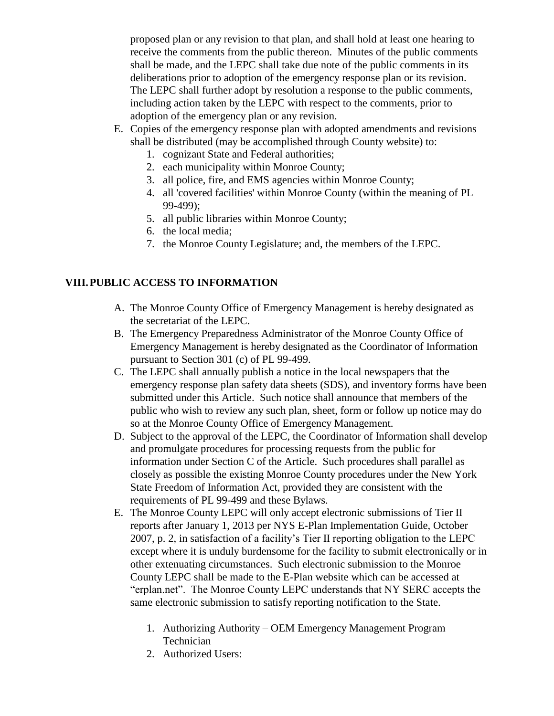proposed plan or any revision to that plan, and shall hold at least one hearing to receive the comments from the public thereon. Minutes of the public comments shall be made, and the LEPC shall take due note of the public comments in its deliberations prior to adoption of the emergency response plan or its revision. The LEPC shall further adopt by resolution a response to the public comments, including action taken by the LEPC with respect to the comments, prior to adoption of the emergency plan or any revision.

- E. Copies of the emergency response plan with adopted amendments and revisions shall be distributed (may be accomplished through County website) to:
	- 1. cognizant State and Federal authorities;
	- 2. each municipality within Monroe County;
	- 3. all police, fire, and EMS agencies within Monroe County;
	- 4. all 'covered facilities' within Monroe County (within the meaning of PL 99-499);
	- 5. all public libraries within Monroe County;
	- 6. the local media;
	- 7. the Monroe County Legislature; and, the members of the LEPC.

# **VIII.PUBLIC ACCESS TO INFORMATION**

- A. The Monroe County Office of Emergency Management is hereby designated as the secretariat of the LEPC.
- B. The Emergency Preparedness Administrator of the Monroe County Office of Emergency Management is hereby designated as the Coordinator of Information pursuant to Section 301 (c) of PL 99-499.
- C. The LEPC shall annually publish a notice in the local newspapers that the emergency response plan-safety data sheets (SDS), and inventory forms have been submitted under this Article. Such notice shall announce that members of the public who wish to review any such plan, sheet, form or follow up notice may do so at the Monroe County Office of Emergency Management.
- D. Subject to the approval of the LEPC, the Coordinator of Information shall develop and promulgate procedures for processing requests from the public for information under Section C of the Article. Such procedures shall parallel as closely as possible the existing Monroe County procedures under the New York State Freedom of Information Act, provided they are consistent with the requirements of PL 99-499 and these Bylaws.
- E. The Monroe County LEPC will only accept electronic submissions of Tier II reports after January 1, 2013 per NYS E-Plan Implementation Guide, October 2007, p. 2, in satisfaction of a facility's Tier II reporting obligation to the LEPC except where it is unduly burdensome for the facility to submit electronically or in other extenuating circumstances. Such electronic submission to the Monroe County LEPC shall be made to the E-Plan website which can be accessed at "erplan.net". The Monroe County LEPC understands that NY SERC accepts the same electronic submission to satisfy reporting notification to the State.
	- 1. Authorizing Authority OEM Emergency Management Program Technician
	- 2. Authorized Users: